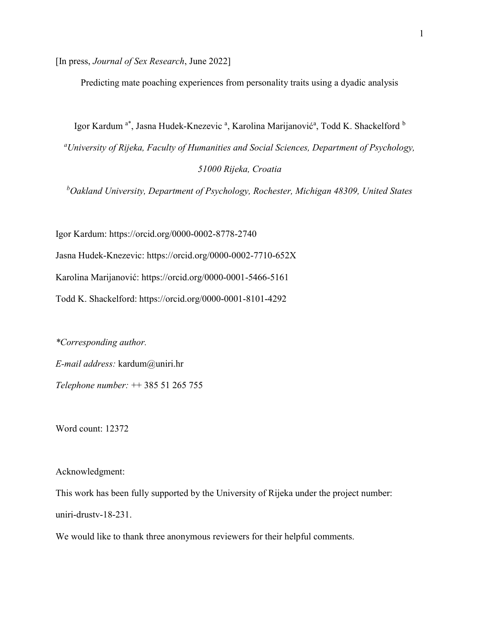[In press, Journal of Sex Research, June 2022]

Predicting mate poaching experiences from personality traits using a dyadic analysis

Igor Kardum <sup>a\*</sup>, Jasna Hudek-Knezevic <sup>a</sup>, Karolina Marijanović<sup>a</sup>, Todd K. Shackelford <sup>b</sup>

<sup>a</sup>University of Rijeka, Faculty of Humanities and Social Sciences, Department of Psychology, 51000 Rijeka, Croatia

 $b$ Oakland University, Department of Psychology, Rochester, Michigan 48309, United States

Igor Kardum: https://orcid.org/0000-0002-8778-2740

Jasna Hudek-Knezevic: https://orcid.org/0000-0002-7710-652X

Karolina Marijanović: https://orcid.org/0000-0001-5466-5161

Todd K. Shackelford: https://orcid.org/0000-0001-8101-4292

\*Corresponding author. E-mail address: kardum@uniri.hr Telephone number: ++ 385 51 265 755

Word count: 12372

Acknowledgment:

This work has been fully supported by the University of Rijeka under the project number: uniri-drustv-18-231.

We would like to thank three anonymous reviewers for their helpful comments.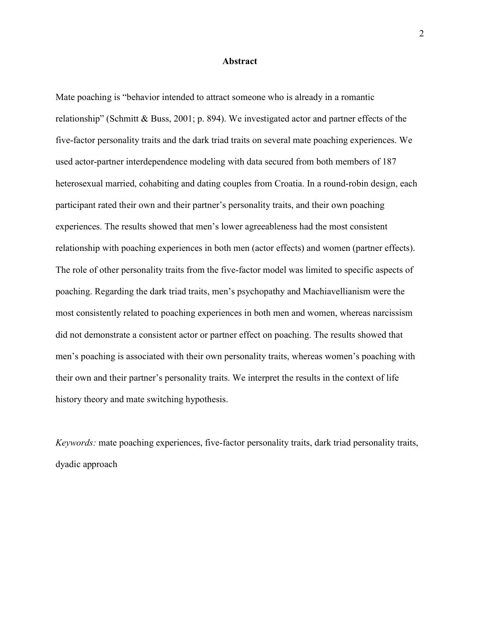#### Abstract

Mate poaching is "behavior intended to attract someone who is already in a romantic relationship" (Schmitt & Buss, 2001; p. 894). We investigated actor and partner effects of the five-factor personality traits and the dark triad traits on several mate poaching experiences. We used actor-partner interdependence modeling with data secured from both members of 187 heterosexual married, cohabiting and dating couples from Croatia. In a round-robin design, each participant rated their own and their partner's personality traits, and their own poaching experiences. The results showed that men's lower agreeableness had the most consistent relationship with poaching experiences in both men (actor effects) and women (partner effects). The role of other personality traits from the five-factor model was limited to specific aspects of poaching. Regarding the dark triad traits, men's psychopathy and Machiavellianism were the most consistently related to poaching experiences in both men and women, whereas narcissism did not demonstrate a consistent actor or partner effect on poaching. The results showed that men's poaching is associated with their own personality traits, whereas women's poaching with their own and their partner's personality traits. We interpret the results in the context of life history theory and mate switching hypothesis.

Keywords: mate poaching experiences, five-factor personality traits, dark triad personality traits, dyadic approach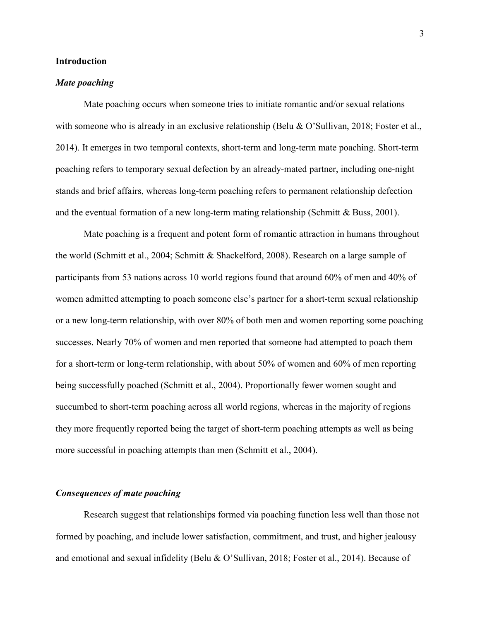#### Introduction

#### Mate poaching

Mate poaching occurs when someone tries to initiate romantic and/or sexual relations with someone who is already in an exclusive relationship (Belu & O'Sullivan, 2018; Foster et al., 2014). It emerges in two temporal contexts, short-term and long-term mate poaching. Short-term poaching refers to temporary sexual defection by an already-mated partner, including one-night stands and brief affairs, whereas long-term poaching refers to permanent relationship defection and the eventual formation of a new long-term mating relationship (Schmitt  $& Buss, 2001$ ).

Mate poaching is a frequent and potent form of romantic attraction in humans throughout the world (Schmitt et al., 2004; Schmitt & Shackelford, 2008). Research on a large sample of participants from 53 nations across 10 world regions found that around 60% of men and 40% of women admitted attempting to poach someone else's partner for a short-term sexual relationship or a new long-term relationship, with over 80% of both men and women reporting some poaching successes. Nearly 70% of women and men reported that someone had attempted to poach them for a short-term or long-term relationship, with about 50% of women and 60% of men reporting being successfully poached (Schmitt et al., 2004). Proportionally fewer women sought and succumbed to short-term poaching across all world regions, whereas in the majority of regions they more frequently reported being the target of short-term poaching attempts as well as being more successful in poaching attempts than men (Schmitt et al., 2004).

## Consequences of mate poaching

Research suggest that relationships formed via poaching function less well than those not formed by poaching, and include lower satisfaction, commitment, and trust, and higher jealousy and emotional and sexual infidelity (Belu & O'Sullivan, 2018; Foster et al., 2014). Because of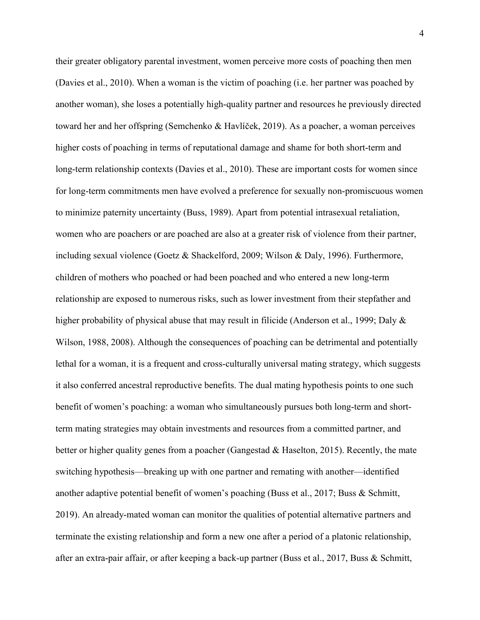their greater obligatory parental investment, women perceive more costs of poaching then men (Davies et al., 2010). When a woman is the victim of poaching (i.e. her partner was poached by another woman), she loses a potentially high-quality partner and resources he previously directed toward her and her offspring (Semchenko & Havlíček, 2019). As a poacher, a woman perceives higher costs of poaching in terms of reputational damage and shame for both short-term and long-term relationship contexts (Davies et al., 2010). These are important costs for women since for long-term commitments men have evolved a preference for sexually non-promiscuous women to minimize paternity uncertainty (Buss, 1989). Apart from potential intrasexual retaliation, women who are poachers or are poached are also at a greater risk of violence from their partner, including sexual violence (Goetz & Shackelford, 2009; Wilson & Daly, 1996). Furthermore, children of mothers who poached or had been poached and who entered a new long-term relationship are exposed to numerous risks, such as lower investment from their stepfather and higher probability of physical abuse that may result in filicide (Anderson et al., 1999; Daly & Wilson, 1988, 2008). Although the consequences of poaching can be detrimental and potentially lethal for a woman, it is a frequent and cross-culturally universal mating strategy, which suggests it also conferred ancestral reproductive benefits. The dual mating hypothesis points to one such benefit of women's poaching: a woman who simultaneously pursues both long-term and shortterm mating strategies may obtain investments and resources from a committed partner, and better or higher quality genes from a poacher (Gangestad  $\&$  Haselton, 2015). Recently, the mate switching hypothesis—breaking up with one partner and remating with another—identified another adaptive potential benefit of women's poaching (Buss et al., 2017; Buss & Schmitt, 2019). An already-mated woman can monitor the qualities of potential alternative partners and terminate the existing relationship and form a new one after a period of a platonic relationship, after an extra-pair affair, or after keeping a back-up partner (Buss et al., 2017, Buss & Schmitt,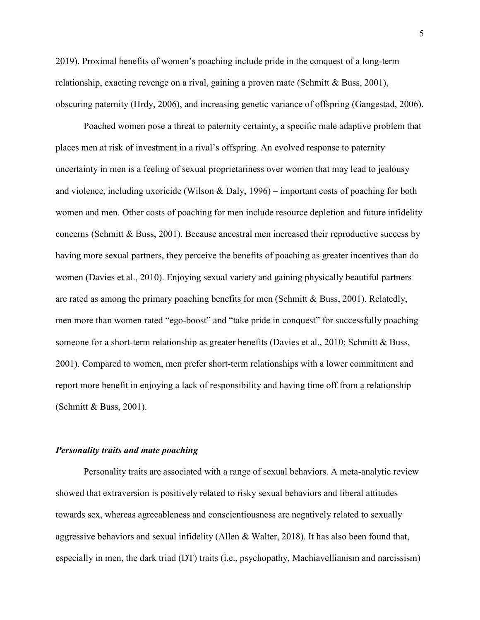2019). Proximal benefits of women's poaching include pride in the conquest of a long-term relationship, exacting revenge on a rival, gaining a proven mate (Schmitt & Buss, 2001), obscuring paternity (Hrdy, 2006), and increasing genetic variance of offspring (Gangestad, 2006).

Poached women pose a threat to paternity certainty, a specific male adaptive problem that places men at risk of investment in a rival's offspring. An evolved response to paternity uncertainty in men is a feeling of sexual proprietariness over women that may lead to jealousy and violence, including uxoricide (Wilson & Daly, 1996) – important costs of poaching for both women and men. Other costs of poaching for men include resource depletion and future infidelity concerns (Schmitt & Buss, 2001). Because ancestral men increased their reproductive success by having more sexual partners, they perceive the benefits of poaching as greater incentives than do women (Davies et al., 2010). Enjoying sexual variety and gaining physically beautiful partners are rated as among the primary poaching benefits for men (Schmitt & Buss, 2001). Relatedly, men more than women rated "ego-boost" and "take pride in conquest" for successfully poaching someone for a short-term relationship as greater benefits (Davies et al., 2010; Schmitt & Buss, 2001). Compared to women, men prefer short-term relationships with a lower commitment and report more benefit in enjoying a lack of responsibility and having time off from a relationship (Schmitt & Buss, 2001).

## Personality traits and mate poaching

Personality traits are associated with a range of sexual behaviors. A meta-analytic review showed that extraversion is positively related to risky sexual behaviors and liberal attitudes towards sex, whereas agreeableness and conscientiousness are negatively related to sexually aggressive behaviors and sexual infidelity (Allen & Walter, 2018). It has also been found that, especially in men, the dark triad (DT) traits (i.e., psychopathy, Machiavellianism and narcissism)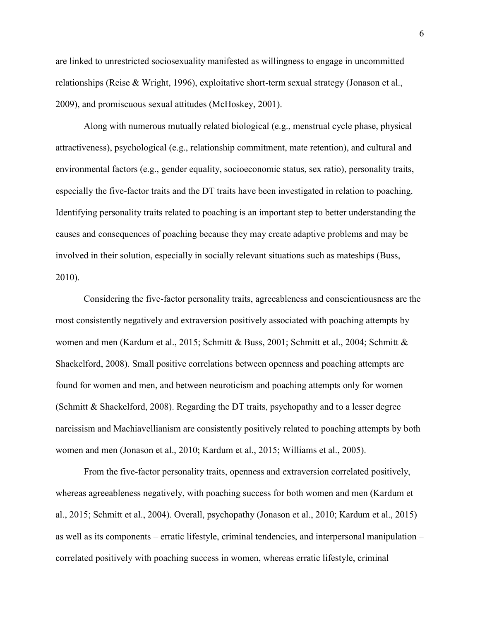are linked to unrestricted sociosexuality manifested as willingness to engage in uncommitted relationships (Reise & Wright, 1996), exploitative short-term sexual strategy (Jonason et al., 2009), and promiscuous sexual attitudes (McHoskey, 2001).

Along with numerous mutually related biological (e.g., menstrual cycle phase, physical attractiveness), psychological (e.g., relationship commitment, mate retention), and cultural and environmental factors (e.g., gender equality, socioeconomic status, sex ratio), personality traits, especially the five-factor traits and the DT traits have been investigated in relation to poaching. Identifying personality traits related to poaching is an important step to better understanding the causes and consequences of poaching because they may create adaptive problems and may be involved in their solution, especially in socially relevant situations such as mateships (Buss, 2010).

Considering the five-factor personality traits, agreeableness and conscientiousness are the most consistently negatively and extraversion positively associated with poaching attempts by women and men (Kardum et al., 2015; Schmitt & Buss, 2001; Schmitt et al., 2004; Schmitt & Shackelford, 2008). Small positive correlations between openness and poaching attempts are found for women and men, and between neuroticism and poaching attempts only for women (Schmitt & Shackelford, 2008). Regarding the DT traits, psychopathy and to a lesser degree narcissism and Machiavellianism are consistently positively related to poaching attempts by both women and men (Jonason et al., 2010; Kardum et al., 2015; Williams et al., 2005).

 From the five-factor personality traits, openness and extraversion correlated positively, whereas agreeableness negatively, with poaching success for both women and men (Kardum et al., 2015; Schmitt et al., 2004). Overall, psychopathy (Jonason et al., 2010; Kardum et al., 2015) as well as its components – erratic lifestyle, criminal tendencies, and interpersonal manipulation – correlated positively with poaching success in women, whereas erratic lifestyle, criminal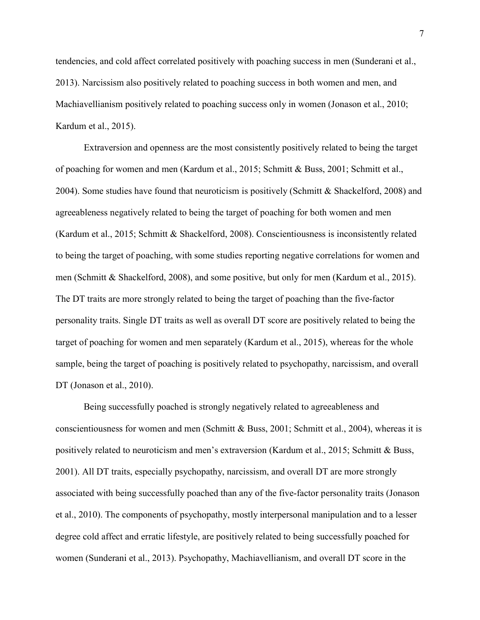tendencies, and cold affect correlated positively with poaching success in men (Sunderani et al., 2013). Narcissism also positively related to poaching success in both women and men, and Machiavellianism positively related to poaching success only in women (Jonason et al., 2010; Kardum et al., 2015).

 Extraversion and openness are the most consistently positively related to being the target of poaching for women and men (Kardum et al., 2015; Schmitt & Buss, 2001; Schmitt et al., 2004). Some studies have found that neuroticism is positively (Schmitt & Shackelford, 2008) and agreeableness negatively related to being the target of poaching for both women and men (Kardum et al., 2015; Schmitt & Shackelford, 2008). Conscientiousness is inconsistently related to being the target of poaching, with some studies reporting negative correlations for women and men (Schmitt & Shackelford, 2008), and some positive, but only for men (Kardum et al., 2015). The DT traits are more strongly related to being the target of poaching than the five-factor personality traits. Single DT traits as well as overall DT score are positively related to being the target of poaching for women and men separately (Kardum et al., 2015), whereas for the whole sample, being the target of poaching is positively related to psychopathy, narcissism, and overall DT (Jonason et al., 2010).

Being successfully poached is strongly negatively related to agreeableness and conscientiousness for women and men (Schmitt & Buss, 2001; Schmitt et al., 2004), whereas it is positively related to neuroticism and men's extraversion (Kardum et al., 2015; Schmitt & Buss, 2001). All DT traits, especially psychopathy, narcissism, and overall DT are more strongly associated with being successfully poached than any of the five-factor personality traits (Jonason et al., 2010). The components of psychopathy, mostly interpersonal manipulation and to a lesser degree cold affect and erratic lifestyle, are positively related to being successfully poached for women (Sunderani et al., 2013). Psychopathy, Machiavellianism, and overall DT score in the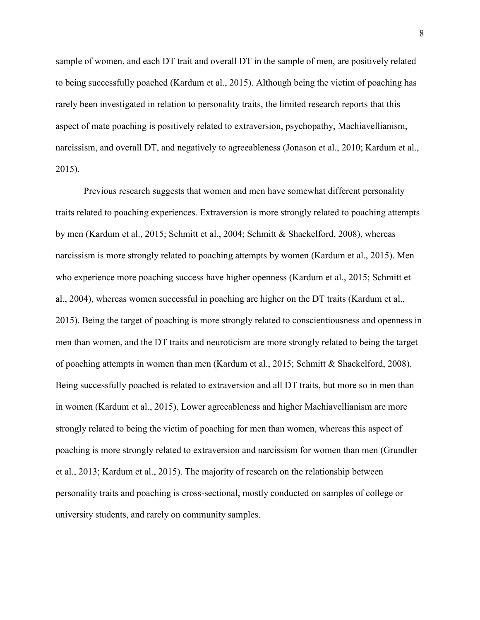sample of women, and each DT trait and overall DT in the sample of men, are positively related to being successfully poached (Kardum et al., 2015). Although being the victim of poaching has rarely been investigated in relation to personality traits, the limited research reports that this aspect of mate poaching is positively related to extraversion, psychopathy, Machiavellianism, narcissism, and overall DT, and negatively to agreeableness (Jonason et al., 2010; Kardum et al., 2015).

Previous research suggests that women and men have somewhat different personality traits related to poaching experiences. Extraversion is more strongly related to poaching attempts by men (Kardum et al., 2015; Schmitt et al., 2004; Schmitt & Shackelford, 2008), whereas narcissism is more strongly related to poaching attempts by women (Kardum et al., 2015). Men who experience more poaching success have higher openness (Kardum et al., 2015; Schmitt et al., 2004), whereas women successful in poaching are higher on the DT traits (Kardum et al., 2015). Being the target of poaching is more strongly related to conscientiousness and openness in men than women, and the DT traits and neuroticism are more strongly related to being the target of poaching attempts in women than men (Kardum et al., 2015; Schmitt & Shackelford, 2008). Being successfully poached is related to extraversion and all DT traits, but more so in men than in women (Kardum et al., 2015). Lower agreeableness and higher Machiavellianism are more strongly related to being the victim of poaching for men than women, whereas this aspect of poaching is more strongly related to extraversion and narcissism for women than men (Grundler et al., 2013; Kardum et al., 2015). The majority of research on the relationship between personality traits and poaching is cross-sectional, mostly conducted on samples of college or university students, and rarely on community samples.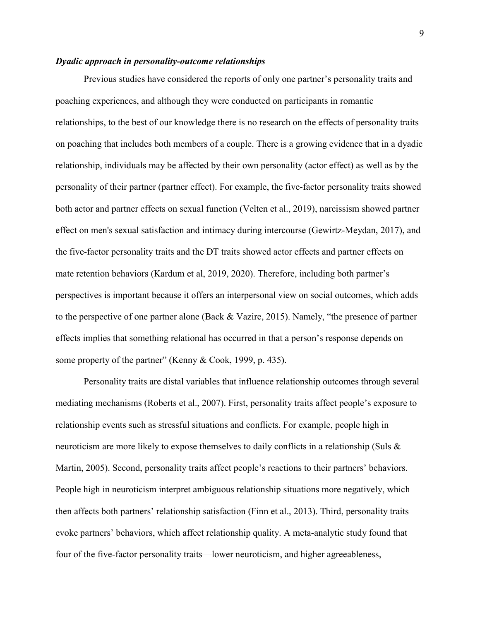## Dyadic approach in personality-outcome relationships

Previous studies have considered the reports of only one partner's personality traits and poaching experiences, and although they were conducted on participants in romantic relationships, to the best of our knowledge there is no research on the effects of personality traits on poaching that includes both members of a couple. There is a growing evidence that in a dyadic relationship, individuals may be affected by their own personality (actor effect) as well as by the personality of their partner (partner effect). For example, the five-factor personality traits showed both actor and partner effects on sexual function (Velten et al., 2019), narcissism showed partner effect on men's sexual satisfaction and intimacy during intercourse (Gewirtz-Meydan, 2017), and the five-factor personality traits and the DT traits showed actor effects and partner effects on mate retention behaviors (Kardum et al, 2019, 2020). Therefore, including both partner's perspectives is important because it offers an interpersonal view on social outcomes, which adds to the perspective of one partner alone (Back & Vazire, 2015). Namely, "the presence of partner effects implies that something relational has occurred in that a person's response depends on some property of the partner" (Kenny & Cook, 1999, p. 435).

Personality traits are distal variables that influence relationship outcomes through several mediating mechanisms (Roberts et al., 2007). First, personality traits affect people's exposure to relationship events such as stressful situations and conflicts. For example, people high in neuroticism are more likely to expose themselves to daily conflicts in a relationship (Suls & Martin, 2005). Second, personality traits affect people's reactions to their partners' behaviors. People high in neuroticism interpret ambiguous relationship situations more negatively, which then affects both partners' relationship satisfaction (Finn et al., 2013). Third, personality traits evoke partners' behaviors, which affect relationship quality. A meta-analytic study found that four of the five-factor personality traits—lower neuroticism, and higher agreeableness,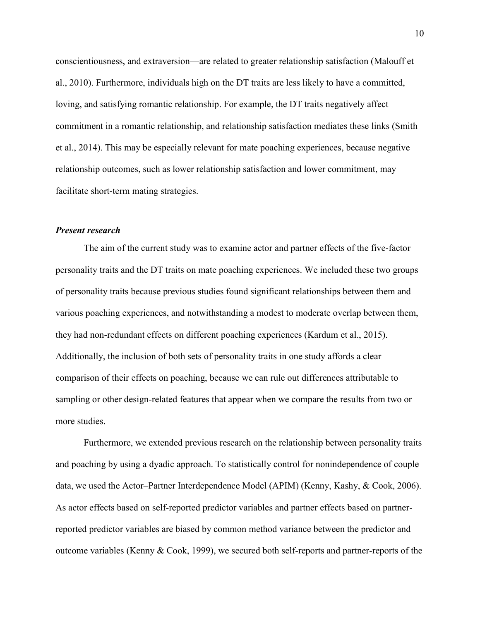conscientiousness, and extraversion—are related to greater relationship satisfaction (Malouff et al., 2010). Furthermore, individuals high on the DT traits are less likely to have a committed, loving, and satisfying romantic relationship. For example, the DT traits negatively affect commitment in a romantic relationship, and relationship satisfaction mediates these links (Smith et al., 2014). This may be especially relevant for mate poaching experiences, because negative relationship outcomes, such as lower relationship satisfaction and lower commitment, may facilitate short-term mating strategies.

#### Present research

The aim of the current study was to examine actor and partner effects of the five-factor personality traits and the DT traits on mate poaching experiences. We included these two groups of personality traits because previous studies found significant relationships between them and various poaching experiences, and notwithstanding a modest to moderate overlap between them, they had non-redundant effects on different poaching experiences (Kardum et al., 2015). Additionally, the inclusion of both sets of personality traits in one study affords a clear comparison of their effects on poaching, because we can rule out differences attributable to sampling or other design-related features that appear when we compare the results from two or more studies.

Furthermore, we extended previous research on the relationship between personality traits and poaching by using a dyadic approach. To statistically control for nonindependence of couple data, we used the Actor–Partner Interdependence Model (APIM) (Kenny, Kashy, & Cook, 2006). As actor effects based on self-reported predictor variables and partner effects based on partnerreported predictor variables are biased by common method variance between the predictor and outcome variables (Kenny & Cook, 1999), we secured both self-reports and partner-reports of the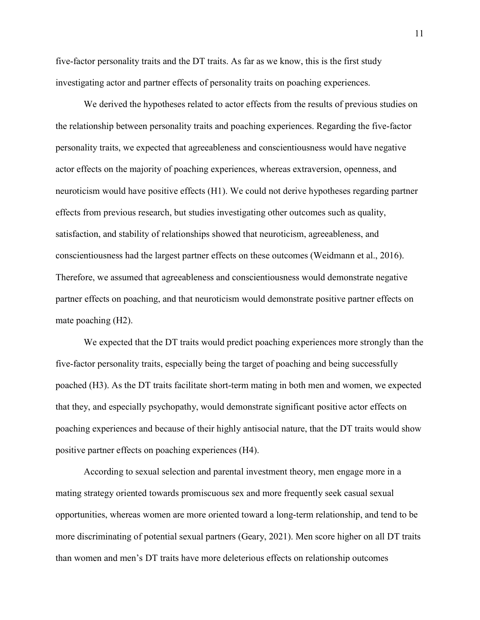five-factor personality traits and the DT traits. As far as we know, this is the first study investigating actor and partner effects of personality traits on poaching experiences.

We derived the hypotheses related to actor effects from the results of previous studies on the relationship between personality traits and poaching experiences. Regarding the five-factor personality traits, we expected that agreeableness and conscientiousness would have negative actor effects on the majority of poaching experiences, whereas extraversion, openness, and neuroticism would have positive effects (H1). We could not derive hypotheses regarding partner effects from previous research, but studies investigating other outcomes such as quality, satisfaction, and stability of relationships showed that neuroticism, agreeableness, and conscientiousness had the largest partner effects on these outcomes (Weidmann et al., 2016). Therefore, we assumed that agreeableness and conscientiousness would demonstrate negative partner effects on poaching, and that neuroticism would demonstrate positive partner effects on mate poaching (H2).

We expected that the DT traits would predict poaching experiences more strongly than the five-factor personality traits, especially being the target of poaching and being successfully poached (H3). As the DT traits facilitate short-term mating in both men and women, we expected that they, and especially psychopathy, would demonstrate significant positive actor effects on poaching experiences and because of their highly antisocial nature, that the DT traits would show positive partner effects on poaching experiences (H4).

According to sexual selection and parental investment theory, men engage more in a mating strategy oriented towards promiscuous sex and more frequently seek casual sexual opportunities, whereas women are more oriented toward a long-term relationship, and tend to be more discriminating of potential sexual partners (Geary, 2021). Men score higher on all DT traits than women and men's DT traits have more deleterious effects on relationship outcomes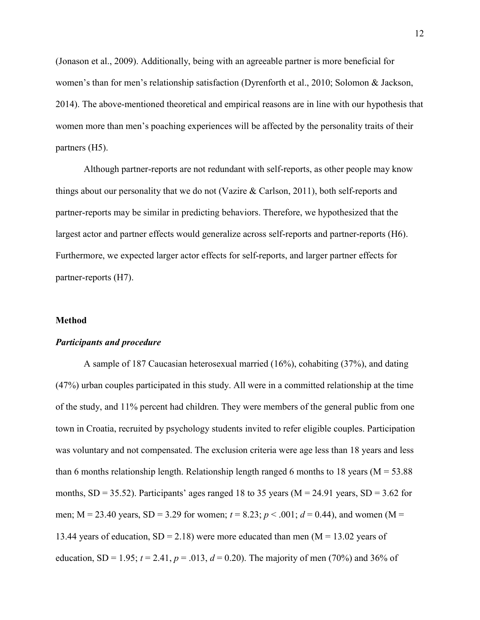(Jonason et al., 2009). Additionally, being with an agreeable partner is more beneficial for women's than for men's relationship satisfaction (Dyrenforth et al., 2010; Solomon & Jackson, 2014). The above-mentioned theoretical and empirical reasons are in line with our hypothesis that women more than men's poaching experiences will be affected by the personality traits of their partners (H5).

Although partner-reports are not redundant with self-reports, as other people may know things about our personality that we do not (Vazire & Carlson, 2011), both self-reports and partner-reports may be similar in predicting behaviors. Therefore, we hypothesized that the largest actor and partner effects would generalize across self-reports and partner-reports (H6). Furthermore, we expected larger actor effects for self-reports, and larger partner effects for partner-reports (H7).

#### **Method**

### Participants and procedure

A sample of 187 Caucasian heterosexual married (16%), cohabiting (37%), and dating (47%) urban couples participated in this study. All were in a committed relationship at the time of the study, and 11% percent had children. They were members of the general public from one town in Croatia, recruited by psychology students invited to refer eligible couples. Participation was voluntary and not compensated. The exclusion criteria were age less than 18 years and less than 6 months relationship length. Relationship length ranged 6 months to 18 years ( $M = 53.88$ ) months,  $SD = 35.52$ ). Participants' ages ranged 18 to 35 years ( $M = 24.91$  years,  $SD = 3.62$  for men; M = 23.40 years, SD = 3.29 for women;  $t = 8.23$ ;  $p < .001$ ;  $d = 0.44$ ), and women (M = 13.44 years of education,  $SD = 2.18$ ) were more educated than men (M = 13.02 years of education, SD = 1.95;  $t = 2.41$ ,  $p = .013$ ,  $d = 0.20$ ). The majority of men (70%) and 36% of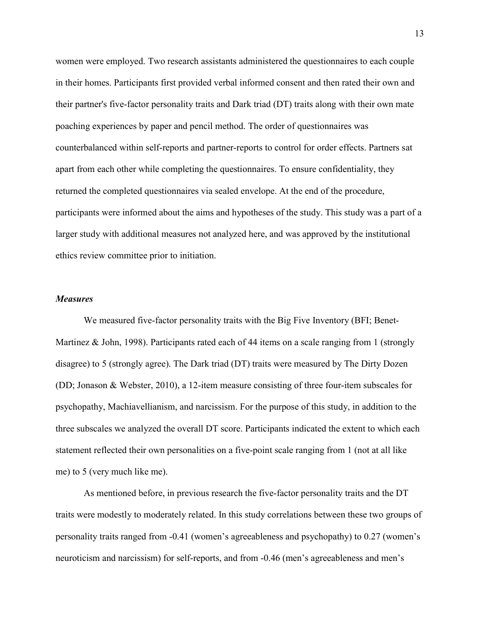women were employed. Two research assistants administered the questionnaires to each couple in their homes. Participants first provided verbal informed consent and then rated their own and their partner's five-factor personality traits and Dark triad (DT) traits along with their own mate poaching experiences by paper and pencil method. The order of questionnaires was counterbalanced within self-reports and partner-reports to control for order effects. Partners sat apart from each other while completing the questionnaires. To ensure confidentiality, they returned the completed questionnaires via sealed envelope. At the end of the procedure, participants were informed about the aims and hypotheses of the study. This study was a part of a larger study with additional measures not analyzed here, and was approved by the institutional ethics review committee prior to initiation.

### **Measures**

We measured five-factor personality traits with the Big Five Inventory (BFI; Benet-Martinez & John, 1998). Participants rated each of 44 items on a scale ranging from 1 (strongly disagree) to 5 (strongly agree). The Dark triad (DT) traits were measured by The Dirty Dozen (DD; Jonason & Webster, 2010), a 12-item measure consisting of three four-item subscales for psychopathy, Machiavellianism, and narcissism. For the purpose of this study, in addition to the three subscales we analyzed the overall DT score. Participants indicated the extent to which each statement reflected their own personalities on a five-point scale ranging from 1 (not at all like me) to 5 (very much like me).

As mentioned before, in previous research the five-factor personality traits and the DT traits were modestly to moderately related. In this study correlations between these two groups of personality traits ranged from -0.41 (women's agreeableness and psychopathy) to 0.27 (women's neuroticism and narcissism) for self-reports, and from -0.46 (men's agreeableness and men's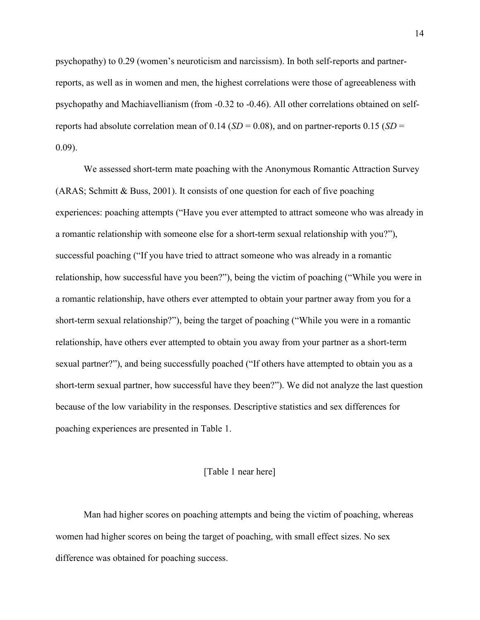psychopathy) to 0.29 (women's neuroticism and narcissism). In both self-reports and partnerreports, as well as in women and men, the highest correlations were those of agreeableness with psychopathy and Machiavellianism (from -0.32 to -0.46). All other correlations obtained on selfreports had absolute correlation mean of 0.14 ( $SD = 0.08$ ), and on partner-reports 0.15 ( $SD =$ 0.09).

We assessed short-term mate poaching with the Anonymous Romantic Attraction Survey (ARAS; Schmitt & Buss, 2001). It consists of one question for each of five poaching experiences: poaching attempts ("Have you ever attempted to attract someone who was already in a romantic relationship with someone else for a short-term sexual relationship with you?"), successful poaching ("If you have tried to attract someone who was already in a romantic relationship, how successful have you been?"), being the victim of poaching ("While you were in a romantic relationship, have others ever attempted to obtain your partner away from you for a short-term sexual relationship?"), being the target of poaching ("While you were in a romantic relationship, have others ever attempted to obtain you away from your partner as a short-term sexual partner?"), and being successfully poached ("If others have attempted to obtain you as a short-term sexual partner, how successful have they been?"). We did not analyze the last question because of the low variability in the responses. Descriptive statistics and sex differences for poaching experiences are presented in Table 1.

## [Table 1 near here]

Man had higher scores on poaching attempts and being the victim of poaching, whereas women had higher scores on being the target of poaching, with small effect sizes. No sex difference was obtained for poaching success.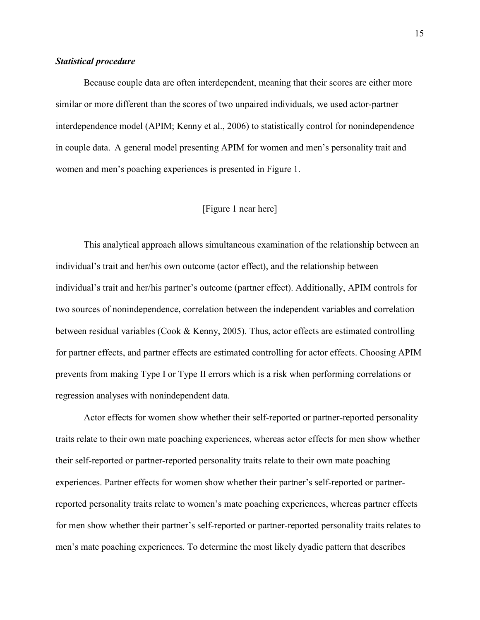#### Statistical procedure

Because couple data are often interdependent, meaning that their scores are either more similar or more different than the scores of two unpaired individuals, we used actor-partner interdependence model (APIM; Kenny et al., 2006) to statistically control for nonindependence in couple data. A general model presenting APIM for women and men's personality trait and women and men's poaching experiences is presented in Figure 1.

## [Figure 1 near here]

This analytical approach allows simultaneous examination of the relationship between an individual's trait and her/his own outcome (actor effect), and the relationship between individual's trait and her/his partner's outcome (partner effect). Additionally, APIM controls for two sources of nonindependence, correlation between the independent variables and correlation between residual variables (Cook & Kenny, 2005). Thus, actor effects are estimated controlling for partner effects, and partner effects are estimated controlling for actor effects. Choosing APIM prevents from making Type I or Type II errors which is a risk when performing correlations or regression analyses with nonindependent data.

Actor effects for women show whether their self-reported or partner-reported personality traits relate to their own mate poaching experiences, whereas actor effects for men show whether their self-reported or partner-reported personality traits relate to their own mate poaching experiences. Partner effects for women show whether their partner's self-reported or partnerreported personality traits relate to women's mate poaching experiences, whereas partner effects for men show whether their partner's self-reported or partner-reported personality traits relates to men's mate poaching experiences. To determine the most likely dyadic pattern that describes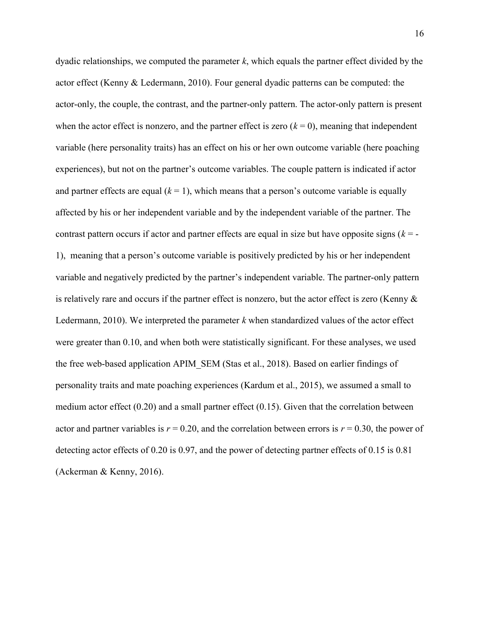dyadic relationships, we computed the parameter  $k$ , which equals the partner effect divided by the actor effect (Kenny & Ledermann, 2010). Four general dyadic patterns can be computed: the actor-only, the couple, the contrast, and the partner-only pattern. The actor-only pattern is present when the actor effect is nonzero, and the partner effect is zero  $(k = 0)$ , meaning that independent variable (here personality traits) has an effect on his or her own outcome variable (here poaching experiences), but not on the partner's outcome variables. The couple pattern is indicated if actor and partner effects are equal  $(k = 1)$ , which means that a person's outcome variable is equally affected by his or her independent variable and by the independent variable of the partner. The contrast pattern occurs if actor and partner effects are equal in size but have opposite signs  $(k = -1)$ 1), meaning that a person's outcome variable is positively predicted by his or her independent variable and negatively predicted by the partner's independent variable. The partner-only pattern is relatively rare and occurs if the partner effect is nonzero, but the actor effect is zero (Kenny & Ledermann, 2010). We interpreted the parameter  $k$  when standardized values of the actor effect were greater than 0.10, and when both were statistically significant. For these analyses, we used the free web-based application APIM\_SEM (Stas et al., 2018). Based on earlier findings of personality traits and mate poaching experiences (Kardum et al., 2015), we assumed a small to medium actor effect (0.20) and a small partner effect (0.15). Given that the correlation between actor and partner variables is  $r = 0.20$ , and the correlation between errors is  $r = 0.30$ , the power of detecting actor effects of 0.20 is 0.97, and the power of detecting partner effects of 0.15 is 0.81 (Ackerman & Kenny, 2016).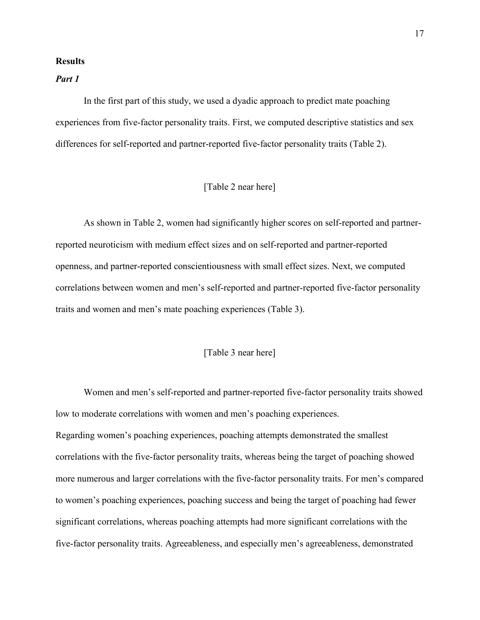#### **Results**

# Part 1

In the first part of this study, we used a dyadic approach to predict mate poaching experiences from five-factor personality traits. First, we computed descriptive statistics and sex differences for self-reported and partner-reported five-factor personality traits (Table 2).

## [Table 2 near here]

As shown in Table 2, women had significantly higher scores on self-reported and partnerreported neuroticism with medium effect sizes and on self-reported and partner-reported openness, and partner-reported conscientiousness with small effect sizes. Next, we computed correlations between women and men's self-reported and partner-reported five-factor personality traits and women and men's mate poaching experiences (Table 3).

## [Table 3 near here]

Women and men's self-reported and partner-reported five-factor personality traits showed low to moderate correlations with women and men's poaching experiences. Regarding women's poaching experiences, poaching attempts demonstrated the smallest correlations with the five-factor personality traits, whereas being the target of poaching showed more numerous and larger correlations with the five-factor personality traits. For men's compared to women's poaching experiences, poaching success and being the target of poaching had fewer significant correlations, whereas poaching attempts had more significant correlations with the five-factor personality traits. Agreeableness, and especially men's agreeableness, demonstrated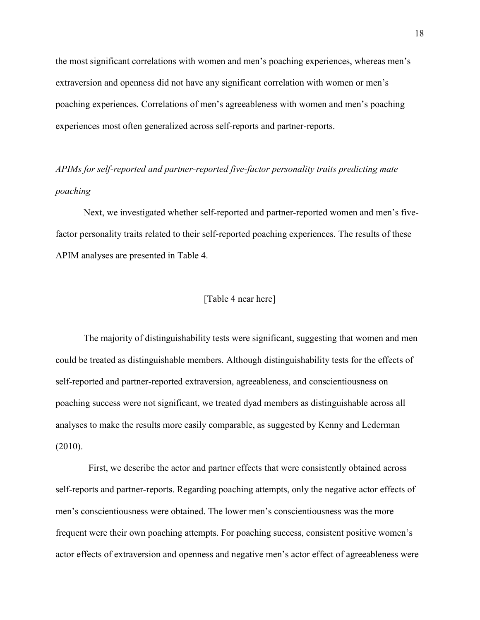the most significant correlations with women and men's poaching experiences, whereas men's extraversion and openness did not have any significant correlation with women or men's poaching experiences. Correlations of men's agreeableness with women and men's poaching experiences most often generalized across self-reports and partner-reports.

APIMs for self-reported and partner-reported five-factor personality traits predicting mate poaching

Next, we investigated whether self-reported and partner-reported women and men's fivefactor personality traits related to their self-reported poaching experiences. The results of these APIM analyses are presented in Table 4.

## [Table 4 near here]

The majority of distinguishability tests were significant, suggesting that women and men could be treated as distinguishable members. Although distinguishability tests for the effects of self-reported and partner-reported extraversion, agreeableness, and conscientiousness on poaching success were not significant, we treated dyad members as distinguishable across all analyses to make the results more easily comparable, as suggested by Kenny and Lederman (2010).

 First, we describe the actor and partner effects that were consistently obtained across self-reports and partner-reports. Regarding poaching attempts, only the negative actor effects of men's conscientiousness were obtained. The lower men's conscientiousness was the more frequent were their own poaching attempts. For poaching success, consistent positive women's actor effects of extraversion and openness and negative men's actor effect of agreeableness were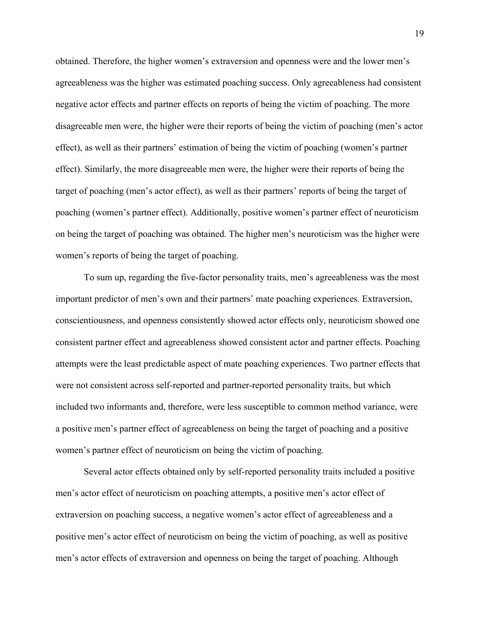obtained. Therefore, the higher women's extraversion and openness were and the lower men's agreeableness was the higher was estimated poaching success. Only agreeableness had consistent negative actor effects and partner effects on reports of being the victim of poaching. The more disagreeable men were, the higher were their reports of being the victim of poaching (men's actor effect), as well as their partners' estimation of being the victim of poaching (women's partner effect). Similarly, the more disagreeable men were, the higher were their reports of being the target of poaching (men's actor effect), as well as their partners' reports of being the target of poaching (women's partner effect). Additionally, positive women's partner effect of neuroticism on being the target of poaching was obtained. The higher men's neuroticism was the higher were women's reports of being the target of poaching.

 To sum up, regarding the five-factor personality traits, men's agreeableness was the most important predictor of men's own and their partners' mate poaching experiences. Extraversion, conscientiousness, and openness consistently showed actor effects only, neuroticism showed one consistent partner effect and agreeableness showed consistent actor and partner effects. Poaching attempts were the least predictable aspect of mate poaching experiences. Two partner effects that were not consistent across self-reported and partner-reported personality traits, but which included two informants and, therefore, were less susceptible to common method variance, were a positive men's partner effect of agreeableness on being the target of poaching and a positive women's partner effect of neuroticism on being the victim of poaching.

 Several actor effects obtained only by self-reported personality traits included a positive men's actor effect of neuroticism on poaching attempts, a positive men's actor effect of extraversion on poaching success, a negative women's actor effect of agreeableness and a positive men's actor effect of neuroticism on being the victim of poaching, as well as positive men's actor effects of extraversion and openness on being the target of poaching. Although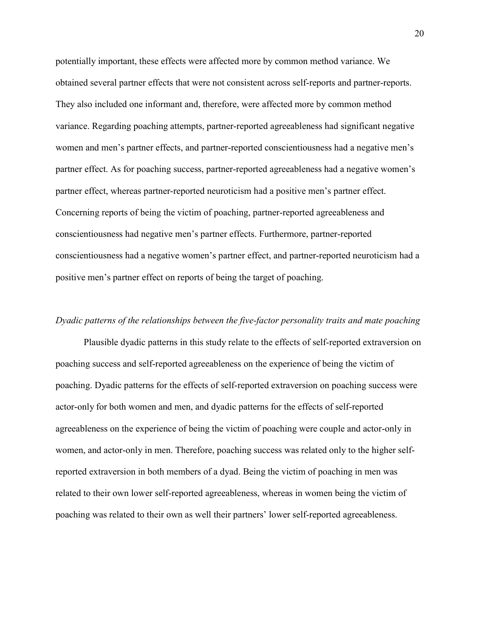potentially important, these effects were affected more by common method variance. We obtained several partner effects that were not consistent across self-reports and partner-reports. They also included one informant and, therefore, were affected more by common method variance. Regarding poaching attempts, partner-reported agreeableness had significant negative women and men's partner effects, and partner-reported conscientiousness had a negative men's partner effect. As for poaching success, partner-reported agreeableness had a negative women's partner effect, whereas partner-reported neuroticism had a positive men's partner effect. Concerning reports of being the victim of poaching, partner-reported agreeableness and conscientiousness had negative men's partner effects. Furthermore, partner-reported conscientiousness had a negative women's partner effect, and partner-reported neuroticism had a positive men's partner effect on reports of being the target of poaching.

#### Dyadic patterns of the relationships between the five-factor personality traits and mate poaching

Plausible dyadic patterns in this study relate to the effects of self-reported extraversion on poaching success and self-reported agreeableness on the experience of being the victim of poaching. Dyadic patterns for the effects of self-reported extraversion on poaching success were actor-only for both women and men, and dyadic patterns for the effects of self-reported agreeableness on the experience of being the victim of poaching were couple and actor-only in women, and actor-only in men. Therefore, poaching success was related only to the higher selfreported extraversion in both members of a dyad. Being the victim of poaching in men was related to their own lower self-reported agreeableness, whereas in women being the victim of poaching was related to their own as well their partners' lower self-reported agreeableness.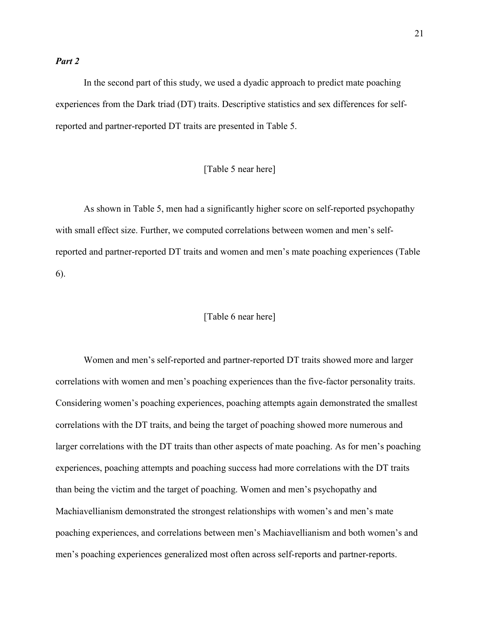## Part 2

In the second part of this study, we used a dyadic approach to predict mate poaching experiences from the Dark triad (DT) traits. Descriptive statistics and sex differences for selfreported and partner-reported DT traits are presented in Table 5.

## [Table 5 near here]

As shown in Table 5, men had a significantly higher score on self-reported psychopathy with small effect size. Further, we computed correlations between women and men's selfreported and partner-reported DT traits and women and men's mate poaching experiences (Table 6).

## [Table 6 near here]

Women and men's self-reported and partner-reported DT traits showed more and larger correlations with women and men's poaching experiences than the five-factor personality traits. Considering women's poaching experiences, poaching attempts again demonstrated the smallest correlations with the DT traits, and being the target of poaching showed more numerous and larger correlations with the DT traits than other aspects of mate poaching. As for men's poaching experiences, poaching attempts and poaching success had more correlations with the DT traits than being the victim and the target of poaching. Women and men's psychopathy and Machiavellianism demonstrated the strongest relationships with women's and men's mate poaching experiences, and correlations between men's Machiavellianism and both women's and men's poaching experiences generalized most often across self-reports and partner-reports.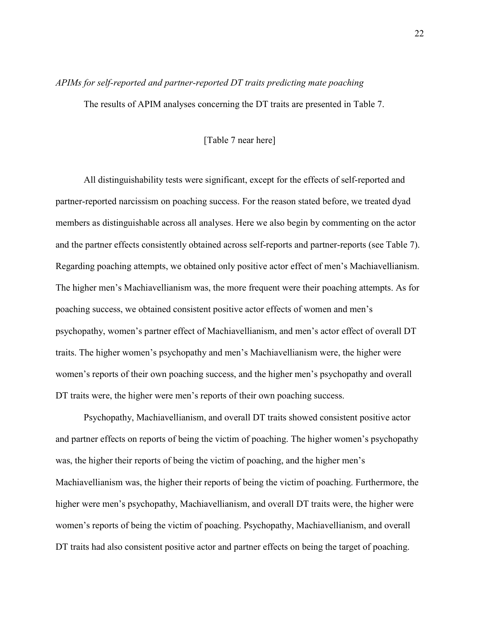#### APIMs for self-reported and partner-reported DT traits predicting mate poaching

The results of APIM analyses concerning the DT traits are presented in Table 7.

## [Table 7 near here]

All distinguishability tests were significant, except for the effects of self-reported and partner-reported narcissism on poaching success. For the reason stated before, we treated dyad members as distinguishable across all analyses. Here we also begin by commenting on the actor and the partner effects consistently obtained across self-reports and partner-reports (see Table 7). Regarding poaching attempts, we obtained only positive actor effect of men's Machiavellianism. The higher men's Machiavellianism was, the more frequent were their poaching attempts. As for poaching success, we obtained consistent positive actor effects of women and men's psychopathy, women's partner effect of Machiavellianism, and men's actor effect of overall DT traits. The higher women's psychopathy and men's Machiavellianism were, the higher were women's reports of their own poaching success, and the higher men's psychopathy and overall DT traits were, the higher were men's reports of their own poaching success.

Psychopathy, Machiavellianism, and overall DT traits showed consistent positive actor and partner effects on reports of being the victim of poaching. The higher women's psychopathy was, the higher their reports of being the victim of poaching, and the higher men's Machiavellianism was, the higher their reports of being the victim of poaching. Furthermore, the higher were men's psychopathy, Machiavellianism, and overall DT traits were, the higher were women's reports of being the victim of poaching. Psychopathy, Machiavellianism, and overall DT traits had also consistent positive actor and partner effects on being the target of poaching.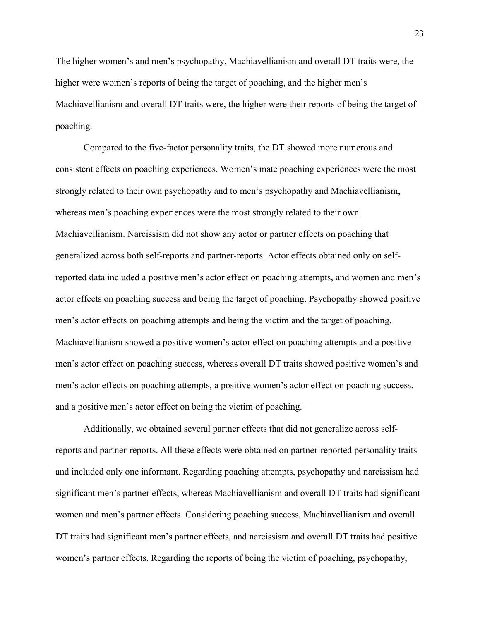The higher women's and men's psychopathy, Machiavellianism and overall DT traits were, the higher were women's reports of being the target of poaching, and the higher men's Machiavellianism and overall DT traits were, the higher were their reports of being the target of poaching.

Compared to the five-factor personality traits, the DT showed more numerous and consistent effects on poaching experiences. Women's mate poaching experiences were the most strongly related to their own psychopathy and to men's psychopathy and Machiavellianism, whereas men's poaching experiences were the most strongly related to their own Machiavellianism. Narcissism did not show any actor or partner effects on poaching that generalized across both self-reports and partner-reports. Actor effects obtained only on selfreported data included a positive men's actor effect on poaching attempts, and women and men's actor effects on poaching success and being the target of poaching. Psychopathy showed positive men's actor effects on poaching attempts and being the victim and the target of poaching. Machiavellianism showed a positive women's actor effect on poaching attempts and a positive men's actor effect on poaching success, whereas overall DT traits showed positive women's and men's actor effects on poaching attempts, a positive women's actor effect on poaching success, and a positive men's actor effect on being the victim of poaching.

Additionally, we obtained several partner effects that did not generalize across selfreports and partner-reports. All these effects were obtained on partner-reported personality traits and included only one informant. Regarding poaching attempts, psychopathy and narcissism had significant men's partner effects, whereas Machiavellianism and overall DT traits had significant women and men's partner effects. Considering poaching success, Machiavellianism and overall DT traits had significant men's partner effects, and narcissism and overall DT traits had positive women's partner effects. Regarding the reports of being the victim of poaching, psychopathy,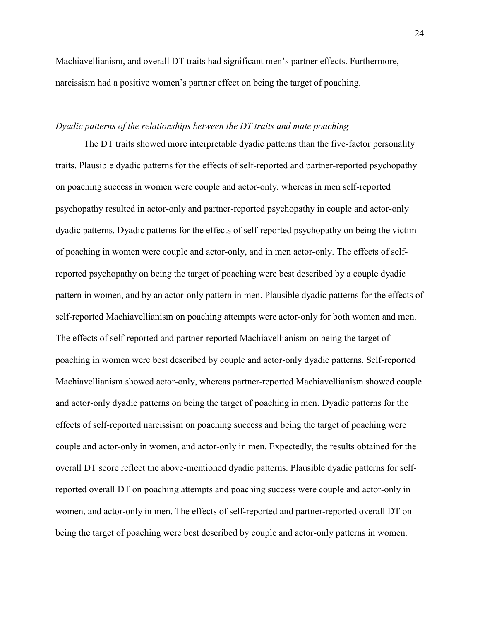Machiavellianism, and overall DT traits had significant men's partner effects. Furthermore, narcissism had a positive women's partner effect on being the target of poaching.

#### Dyadic patterns of the relationships between the DT traits and mate poaching

The DT traits showed more interpretable dyadic patterns than the five-factor personality traits. Plausible dyadic patterns for the effects of self-reported and partner-reported psychopathy on poaching success in women were couple and actor-only, whereas in men self-reported psychopathy resulted in actor-only and partner-reported psychopathy in couple and actor-only dyadic patterns. Dyadic patterns for the effects of self-reported psychopathy on being the victim of poaching in women were couple and actor-only, and in men actor-only. The effects of selfreported psychopathy on being the target of poaching were best described by a couple dyadic pattern in women, and by an actor-only pattern in men. Plausible dyadic patterns for the effects of self-reported Machiavellianism on poaching attempts were actor-only for both women and men. The effects of self-reported and partner-reported Machiavellianism on being the target of poaching in women were best described by couple and actor-only dyadic patterns. Self-reported Machiavellianism showed actor-only, whereas partner-reported Machiavellianism showed couple and actor-only dyadic patterns on being the target of poaching in men. Dyadic patterns for the effects of self-reported narcissism on poaching success and being the target of poaching were couple and actor-only in women, and actor-only in men. Expectedly, the results obtained for the overall DT score reflect the above-mentioned dyadic patterns. Plausible dyadic patterns for selfreported overall DT on poaching attempts and poaching success were couple and actor-only in women, and actor-only in men. The effects of self-reported and partner-reported overall DT on being the target of poaching were best described by couple and actor-only patterns in women.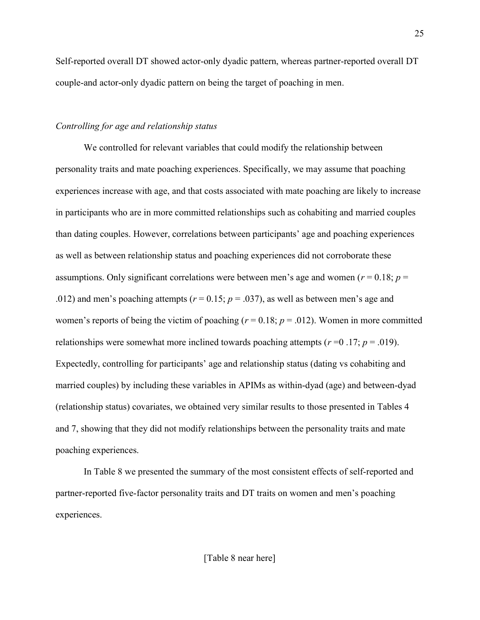Self-reported overall DT showed actor-only dyadic pattern, whereas partner-reported overall DT couple-and actor-only dyadic pattern on being the target of poaching in men.

## Controlling for age and relationship status

We controlled for relevant variables that could modify the relationship between personality traits and mate poaching experiences. Specifically, we may assume that poaching experiences increase with age, and that costs associated with mate poaching are likely to increase in participants who are in more committed relationships such as cohabiting and married couples than dating couples. However, correlations between participants' age and poaching experiences as well as between relationship status and poaching experiences did not corroborate these assumptions. Only significant correlations were between men's age and women ( $r = 0.18$ ;  $p =$ .012) and men's poaching attempts ( $r = 0.15$ ;  $p = .037$ ), as well as between men's age and women's reports of being the victim of poaching ( $r = 0.18$ ;  $p = .012$ ). Women in more committed relationships were somewhat more inclined towards poaching attempts ( $r = 0.17$ ;  $p = .019$ ). Expectedly, controlling for participants' age and relationship status (dating vs cohabiting and married couples) by including these variables in APIMs as within-dyad (age) and between-dyad (relationship status) covariates, we obtained very similar results to those presented in Tables 4 and 7, showing that they did not modify relationships between the personality traits and mate poaching experiences.

In Table 8 we presented the summary of the most consistent effects of self-reported and partner-reported five-factor personality traits and DT traits on women and men's poaching experiences.

[Table 8 near here]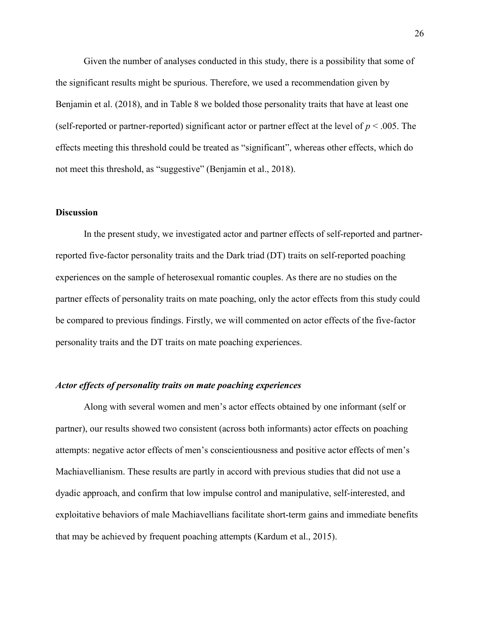Given the number of analyses conducted in this study, there is a possibility that some of the significant results might be spurious. Therefore, we used a recommendation given by Benjamin et al. (2018), and in Table 8 we bolded those personality traits that have at least one (self-reported or partner-reported) significant actor or partner effect at the level of  $p < .005$ . The effects meeting this threshold could be treated as "significant", whereas other effects, which do not meet this threshold, as "suggestive" (Benjamin et al., 2018).

## **Discussion**

 In the present study, we investigated actor and partner effects of self-reported and partnerreported five-factor personality traits and the Dark triad (DT) traits on self-reported poaching experiences on the sample of heterosexual romantic couples. As there are no studies on the partner effects of personality traits on mate poaching, only the actor effects from this study could be compared to previous findings. Firstly, we will commented on actor effects of the five-factor personality traits and the DT traits on mate poaching experiences.

## Actor effects of personality traits on mate poaching experiences

 Along with several women and men's actor effects obtained by one informant (self or partner), our results showed two consistent (across both informants) actor effects on poaching attempts: negative actor effects of men's conscientiousness and positive actor effects of men's Machiavellianism. These results are partly in accord with previous studies that did not use a dyadic approach, and confirm that low impulse control and manipulative, self-interested, and exploitative behaviors of male Machiavellians facilitate short-term gains and immediate benefits that may be achieved by frequent poaching attempts (Kardum et al., 2015).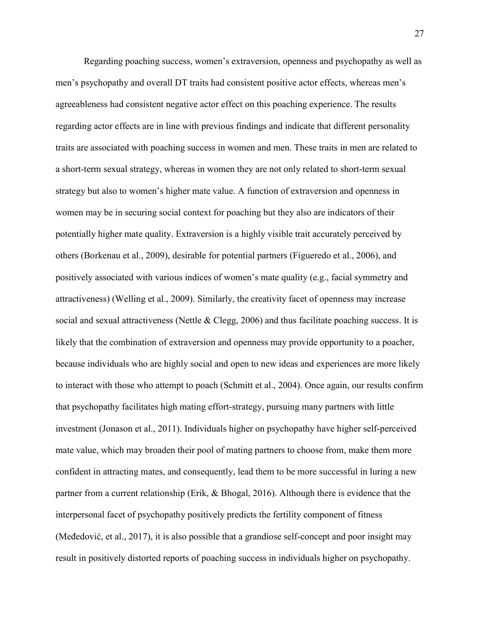Regarding poaching success, women's extraversion, openness and psychopathy as well as men's psychopathy and overall DT traits had consistent positive actor effects, whereas men's agreeableness had consistent negative actor effect on this poaching experience. The results regarding actor effects are in line with previous findings and indicate that different personality traits are associated with poaching success in women and men. These traits in men are related to a short-term sexual strategy, whereas in women they are not only related to short-term sexual strategy but also to women's higher mate value. A function of extraversion and openness in women may be in securing social context for poaching but they also are indicators of their potentially higher mate quality. Extraversion is a highly visible trait accurately perceived by others (Borkenau et al., 2009), desirable for potential partners (Figueredo et al., 2006), and positively associated with various indices of women's mate quality (e.g., facial symmetry and attractiveness) (Welling et al., 2009). Similarly, the creativity facet of openness may increase social and sexual attractiveness (Nettle & Clegg, 2006) and thus facilitate poaching success. It is likely that the combination of extraversion and openness may provide opportunity to a poacher, because individuals who are highly social and open to new ideas and experiences are more likely to interact with those who attempt to poach (Schmitt et al., 2004). Once again, our results confirm that psychopathy facilitates high mating effort-strategy, pursuing many partners with little investment (Jonason et al., 2011). Individuals higher on psychopathy have higher self-perceived mate value, which may broaden their pool of mating partners to choose from, make them more confident in attracting mates, and consequently, lead them to be more successful in luring a new partner from a current relationship (Erik, & Bhogal, 2016). Although there is evidence that the interpersonal facet of psychopathy positively predicts the fertility component of fitness (Međedović, et al., 2017), it is also possible that a grandiose self-concept and poor insight may result in positively distorted reports of poaching success in individuals higher on psychopathy.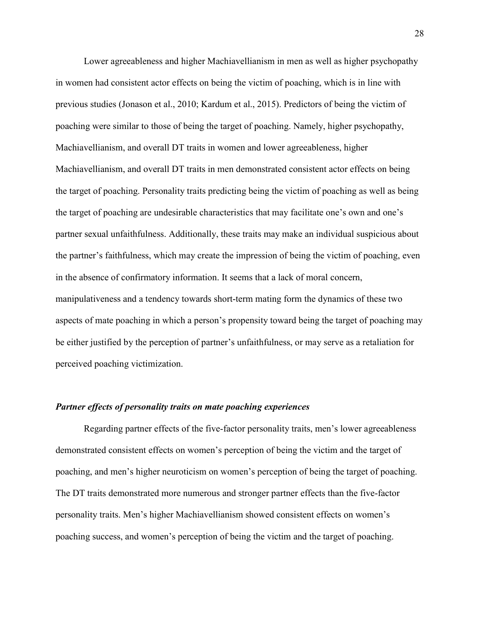Lower agreeableness and higher Machiavellianism in men as well as higher psychopathy in women had consistent actor effects on being the victim of poaching, which is in line with previous studies (Jonason et al., 2010; Kardum et al., 2015). Predictors of being the victim of poaching were similar to those of being the target of poaching. Namely, higher psychopathy, Machiavellianism, and overall DT traits in women and lower agreeableness, higher Machiavellianism, and overall DT traits in men demonstrated consistent actor effects on being the target of poaching. Personality traits predicting being the victim of poaching as well as being the target of poaching are undesirable characteristics that may facilitate one's own and one's partner sexual unfaithfulness. Additionally, these traits may make an individual suspicious about the partner's faithfulness, which may create the impression of being the victim of poaching, even in the absence of confirmatory information. It seems that a lack of moral concern, manipulativeness and a tendency towards short-term mating form the dynamics of these two aspects of mate poaching in which a person's propensity toward being the target of poaching may be either justified by the perception of partner's unfaithfulness, or may serve as a retaliation for perceived poaching victimization.

## Partner effects of personality traits on mate poaching experiences

 Regarding partner effects of the five-factor personality traits, men's lower agreeableness demonstrated consistent effects on women's perception of being the victim and the target of poaching, and men's higher neuroticism on women's perception of being the target of poaching. The DT traits demonstrated more numerous and stronger partner effects than the five-factor personality traits. Men's higher Machiavellianism showed consistent effects on women's poaching success, and women's perception of being the victim and the target of poaching.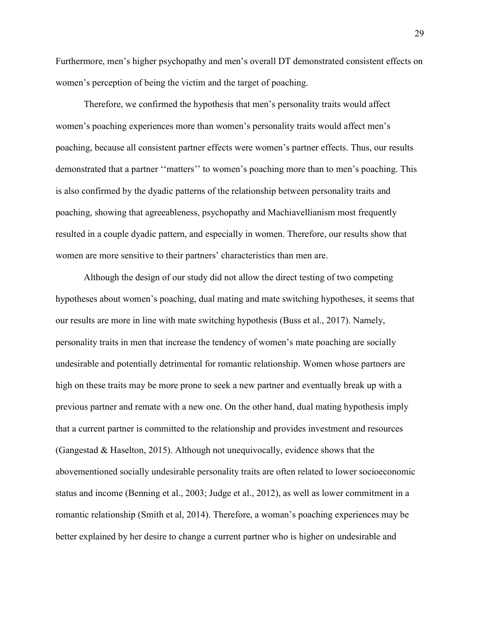Furthermore, men's higher psychopathy and men's overall DT demonstrated consistent effects on women's perception of being the victim and the target of poaching.

 Therefore, we confirmed the hypothesis that men's personality traits would affect women's poaching experiences more than women's personality traits would affect men's poaching, because all consistent partner effects were women's partner effects. Thus, our results demonstrated that a partner ''matters'' to women's poaching more than to men's poaching. This is also confirmed by the dyadic patterns of the relationship between personality traits and poaching, showing that agreeableness, psychopathy and Machiavellianism most frequently resulted in a couple dyadic pattern, and especially in women. Therefore, our results show that women are more sensitive to their partners' characteristics than men are.

Although the design of our study did not allow the direct testing of two competing hypotheses about women's poaching, dual mating and mate switching hypotheses, it seems that our results are more in line with mate switching hypothesis (Buss et al., 2017). Namely, personality traits in men that increase the tendency of women's mate poaching are socially undesirable and potentially detrimental for romantic relationship. Women whose partners are high on these traits may be more prone to seek a new partner and eventually break up with a previous partner and remate with a new one. On the other hand, dual mating hypothesis imply that a current partner is committed to the relationship and provides investment and resources (Gangestad & Haselton, 2015). Although not unequivocally, evidence shows that the abovementioned socially undesirable personality traits are often related to lower socioeconomic status and income (Benning et al., 2003; Judge et al., 2012), as well as lower commitment in a romantic relationship (Smith et al, 2014). Therefore, a woman's poaching experiences may be better explained by her desire to change a current partner who is higher on undesirable and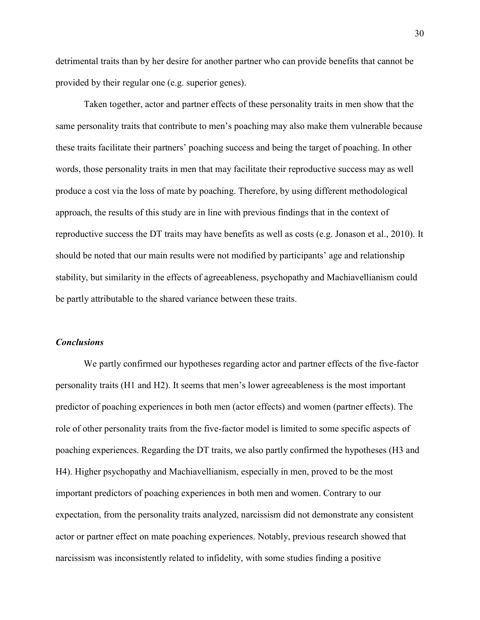detrimental traits than by her desire for another partner who can provide benefits that cannot be provided by their regular one (e.g. superior genes).

 Taken together, actor and partner effects of these personality traits in men show that the same personality traits that contribute to men's poaching may also make them vulnerable because these traits facilitate their partners' poaching success and being the target of poaching. In other words, those personality traits in men that may facilitate their reproductive success may as well produce a cost via the loss of mate by poaching. Therefore, by using different methodological approach, the results of this study are in line with previous findings that in the context of reproductive success the DT traits may have benefits as well as costs (e.g. Jonason et al., 2010). It should be noted that our main results were not modified by participants' age and relationship stability, but similarity in the effects of agreeableness, psychopathy and Machiavellianism could be partly attributable to the shared variance between these traits.

### **Conclusions**

We partly confirmed our hypotheses regarding actor and partner effects of the five-factor personality traits (H1 and H2). It seems that men's lower agreeableness is the most important predictor of poaching experiences in both men (actor effects) and women (partner effects). The role of other personality traits from the five-factor model is limited to some specific aspects of poaching experiences. Regarding the DT traits, we also partly confirmed the hypotheses (H3 and H4). Higher psychopathy and Machiavellianism, especially in men, proved to be the most important predictors of poaching experiences in both men and women. Contrary to our expectation, from the personality traits analyzed, narcissism did not demonstrate any consistent actor or partner effect on mate poaching experiences. Notably, previous research showed that narcissism was inconsistently related to infidelity, with some studies finding a positive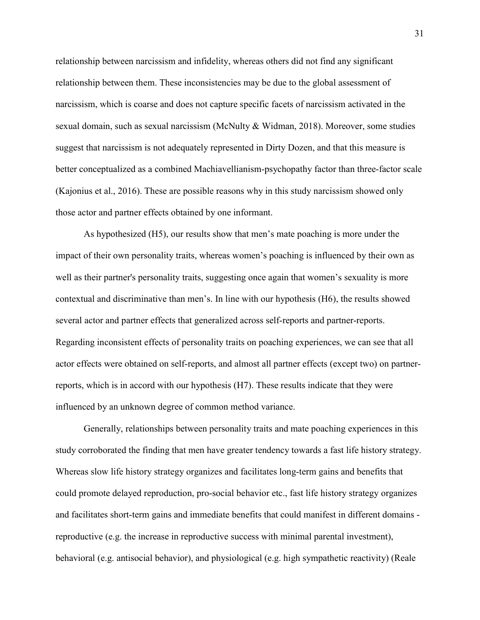relationship between narcissism and infidelity, whereas others did not find any significant relationship between them. These inconsistencies may be due to the global assessment of narcissism, which is coarse and does not capture specific facets of narcissism activated in the sexual domain, such as sexual narcissism (McNulty & Widman, 2018). Moreover, some studies suggest that narcissism is not adequately represented in Dirty Dozen, and that this measure is better conceptualized as a combined Machiavellianism-psychopathy factor than three-factor scale (Kajonius et al., 2016). These are possible reasons why in this study narcissism showed only those actor and partner effects obtained by one informant.

As hypothesized (H5), our results show that men's mate poaching is more under the impact of their own personality traits, whereas women's poaching is influenced by their own as well as their partner's personality traits, suggesting once again that women's sexuality is more contextual and discriminative than men's. In line with our hypothesis (H6), the results showed several actor and partner effects that generalized across self-reports and partner-reports. Regarding inconsistent effects of personality traits on poaching experiences, we can see that all actor effects were obtained on self-reports, and almost all partner effects (except two) on partnerreports, which is in accord with our hypothesis (H7). These results indicate that they were influenced by an unknown degree of common method variance.

Generally, relationships between personality traits and mate poaching experiences in this study corroborated the finding that men have greater tendency towards a fast life history strategy. Whereas slow life history strategy organizes and facilitates long-term gains and benefits that could promote delayed reproduction, pro-social behavior etc., fast life history strategy organizes and facilitates short-term gains and immediate benefits that could manifest in different domains reproductive (e.g. the increase in reproductive success with minimal parental investment), behavioral (e.g. antisocial behavior), and physiological (e.g. high sympathetic reactivity) (Reale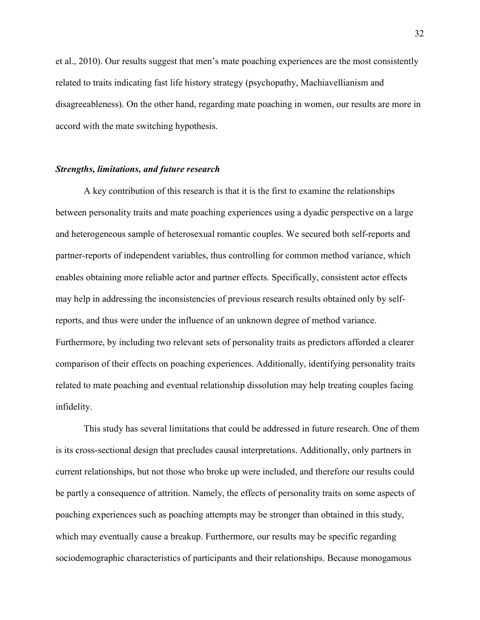et al., 2010). Our results suggest that men's mate poaching experiences are the most consistently related to traits indicating fast life history strategy (psychopathy, Machiavellianism and disagreeableness). On the other hand, regarding mate poaching in women, our results are more in accord with the mate switching hypothesis.

#### Strengths, limitations, and future research

A key contribution of this research is that it is the first to examine the relationships between personality traits and mate poaching experiences using a dyadic perspective on a large and heterogeneous sample of heterosexual romantic couples. We secured both self-reports and partner-reports of independent variables, thus controlling for common method variance, which enables obtaining more reliable actor and partner effects. Specifically, consistent actor effects may help in addressing the inconsistencies of previous research results obtained only by selfreports, and thus were under the influence of an unknown degree of method variance. Furthermore, by including two relevant sets of personality traits as predictors afforded a clearer comparison of their effects on poaching experiences. Additionally, identifying personality traits related to mate poaching and eventual relationship dissolution may help treating couples facing infidelity.

This study has several limitations that could be addressed in future research. One of them is its cross-sectional design that precludes causal interpretations. Additionally, only partners in current relationships, but not those who broke up were included, and therefore our results could be partly a consequence of attrition. Namely, the effects of personality traits on some aspects of poaching experiences such as poaching attempts may be stronger than obtained in this study, which may eventually cause a breakup. Furthermore, our results may be specific regarding sociodemographic characteristics of participants and their relationships. Because monogamous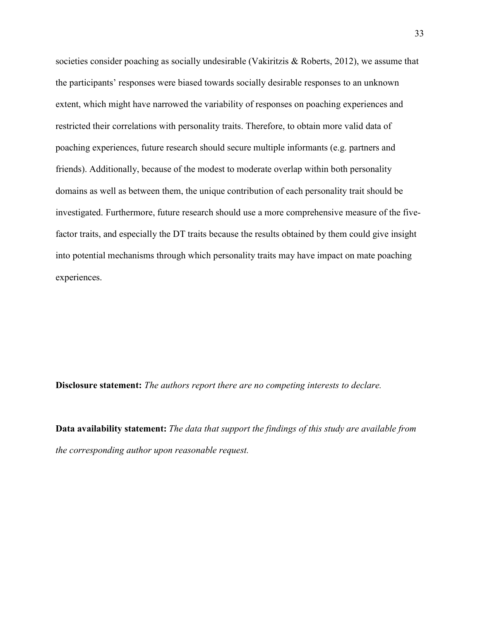societies consider poaching as socially undesirable (Vakiritzis & Roberts, 2012), we assume that the participants' responses were biased towards socially desirable responses to an unknown extent, which might have narrowed the variability of responses on poaching experiences and restricted their correlations with personality traits. Therefore, to obtain more valid data of poaching experiences, future research should secure multiple informants (e.g. partners and friends). Additionally, because of the modest to moderate overlap within both personality domains as well as between them, the unique contribution of each personality trait should be investigated. Furthermore, future research should use a more comprehensive measure of the fivefactor traits, and especially the DT traits because the results obtained by them could give insight into potential mechanisms through which personality traits may have impact on mate poaching experiences.

Disclosure statement: The authors report there are no competing interests to declare.

Data availability statement: The data that support the findings of this study are available from the corresponding author upon reasonable request.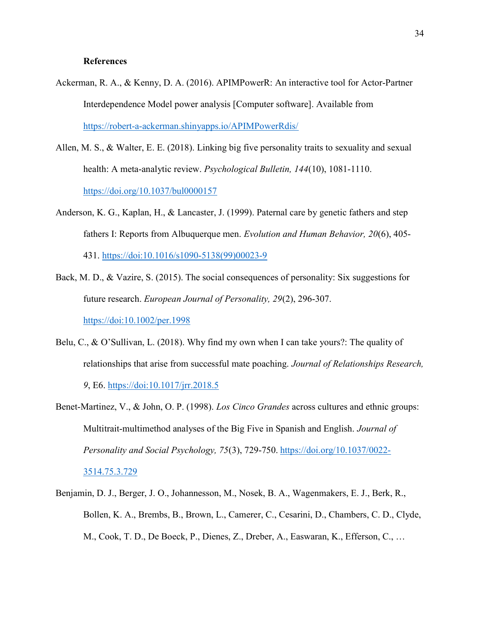## **References**

- Ackerman, R. A., & Kenny, D. A. (2016). APIMPowerR: An interactive tool for Actor-Partner Interdependence Model power analysis [Computer software]. Available from https://robert-a-ackerman.shinyapps.io/APIMPowerRdis/
- Allen, M. S., & Walter, E. E. (2018). Linking big five personality traits to sexuality and sexual health: A meta-analytic review. Psychological Bulletin, 144(10), 1081-1110. https://doi.org/10.1037/bul0000157
- Anderson, K. G., Kaplan, H., & Lancaster, J. (1999). Paternal care by genetic fathers and step fathers I: Reports from Albuquerque men. Evolution and Human Behavior, 20(6), 405- 431. https://doi:10.1016/s1090-5138(99)00023-9
- Back, M. D., & Vazire, S. (2015). The social consequences of personality: Six suggestions for future research. European Journal of Personality, 29(2), 296-307. https://doi:10.1002/per.1998
- Belu, C., & O'Sullivan, L. (2018). Why find my own when I can take yours?: The quality of relationships that arise from successful mate poaching. Journal of Relationships Research, 9, E6. https://doi:10.1017/jrr.2018.5
- Benet-Martinez, V., & John, O. P. (1998). Los Cinco Grandes across cultures and ethnic groups: Multitrait-multimethod analyses of the Big Five in Spanish and English. Journal of Personality and Social Psychology, 75(3), 729-750. https://doi.org/10.1037/0022- 3514.75.3.729
- Benjamin, D. J., Berger, J. O., Johannesson, M., Nosek, B. A., Wagenmakers, E. J., Berk, R., Bollen, K. A., Brembs, B., Brown, L., Camerer, C., Cesarini, D., Chambers, C. D., Clyde, M., Cook, T. D., De Boeck, P., Dienes, Z., Dreber, A., Easwaran, K., Efferson, C., …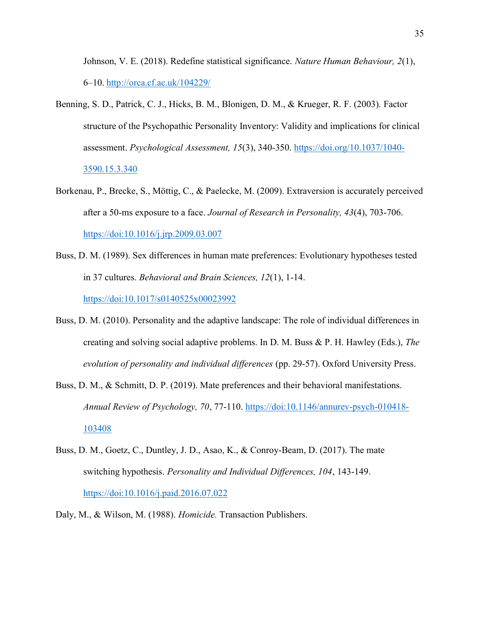Johnson, V. E. (2018). Redefine statistical significance. Nature Human Behaviour, 2(1), 6–10. http://orca.cf.ac.uk/104229/

- Benning, S. D., Patrick, C. J., Hicks, B. M., Blonigen, D. M., & Krueger, R. F. (2003). Factor structure of the Psychopathic Personality Inventory: Validity and implications for clinical assessment. Psychological Assessment, 15(3), 340-350. https://doi.org/10.1037/1040- 3590.15.3.340
- Borkenau, P., Brecke, S., Möttig, C., & Paelecke, M. (2009). Extraversion is accurately perceived after a 50-ms exposure to a face. Journal of Research in Personality, 43(4), 703-706. https://doi:10.1016/j.jrp.2009.03.007
- Buss, D. M. (1989). Sex differences in human mate preferences: Evolutionary hypotheses tested in 37 cultures. Behavioral and Brain Sciences, 12(1), 1-14. https://doi:10.1017/s0140525x00023992
- Buss, D. M. (2010). Personality and the adaptive landscape: The role of individual differences in creating and solving social adaptive problems. In D. M. Buss & P. H. Hawley (Eds.), The evolution of personality and individual differences (pp. 29-57). Oxford University Press.
- Buss, D. M., & Schmitt, D. P. (2019). Mate preferences and their behavioral manifestations. Annual Review of Psychology, 70, 77-110. https://doi:10.1146/annurev-psych-010418- 103408
- Buss, D. M., Goetz, C., Duntley, J. D., Asao, K., & Conroy-Beam, D. (2017). The mate switching hypothesis. Personality and Individual Differences, 104, 143-149. https://doi:10.1016/j.paid.2016.07.022
- Daly, M., & Wilson, M. (1988). Homicide. Transaction Publishers.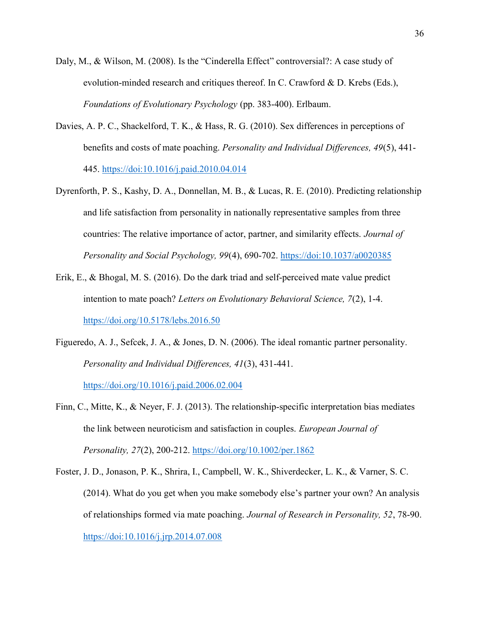- Daly, M., & Wilson, M. (2008). Is the "Cinderella Effect" controversial?: A case study of evolution-minded research and critiques thereof. In C. Crawford & D. Krebs (Eds.), Foundations of Evolutionary Psychology (pp. 383-400). Erlbaum.
- Davies, A. P. C., Shackelford, T. K., & Hass, R. G. (2010). Sex differences in perceptions of benefits and costs of mate poaching. Personality and Individual Differences, 49(5), 441- 445. https://doi:10.1016/j.paid.2010.04.014
- Dyrenforth, P. S., Kashy, D. A., Donnellan, M. B., & Lucas, R. E. (2010). Predicting relationship and life satisfaction from personality in nationally representative samples from three countries: The relative importance of actor, partner, and similarity effects. Journal of Personality and Social Psychology, 99(4), 690-702. https://doi:10.1037/a0020385
- Erik, E., & Bhogal, M. S. (2016). Do the dark triad and self-perceived mate value predict intention to mate poach? Letters on Evolutionary Behavioral Science, 7(2), 1-4. https://doi.org/10.5178/lebs.2016.50
- Figueredo, A. J., Sefcek, J. A., & Jones, D. N. (2006). The ideal romantic partner personality. Personality and Individual Differences, 41(3), 431-441. https://doi.org/10.1016/j.paid.2006.02.004
- Finn, C., Mitte, K., & Neyer, F. J. (2013). The relationship-specific interpretation bias mediates the link between neuroticism and satisfaction in couples. European Journal of Personality, 27(2), 200-212. https://doi.org/10.1002/per.1862
- Foster, J. D., Jonason, P. K., Shrira, I., Campbell, W. K., Shiverdecker, L. K., & Varner, S. C. (2014). What do you get when you make somebody else's partner your own? An analysis of relationships formed via mate poaching. Journal of Research in Personality, 52, 78-90. https://doi:10.1016/j.jrp.2014.07.008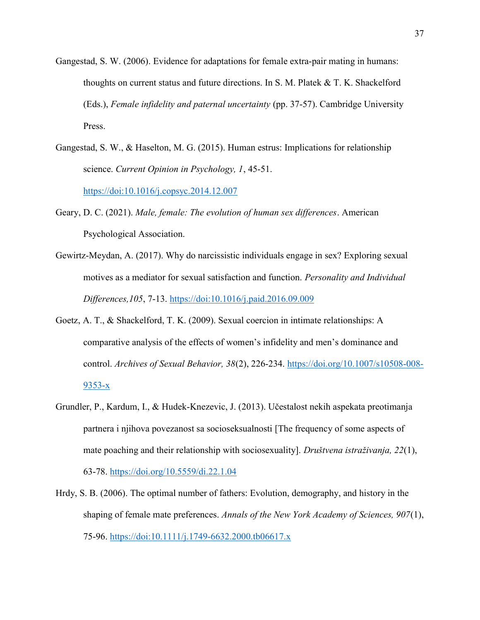- Gangestad, S. W. (2006). Evidence for adaptations for female extra-pair mating in humans: thoughts on current status and future directions. In S. M. Platek & T. K. Shackelford (Eds.), Female infidelity and paternal uncertainty (pp. 37-57). Cambridge University Press.
- Gangestad, S. W., & Haselton, M. G. (2015). Human estrus: Implications for relationship science. Current Opinion in Psychology, 1, 45-51. https://doi:10.1016/j.copsyc.2014.12.007
- Geary, D. C. (2021). *Male, female: The evolution of human sex differences*. American Psychological Association.
- Gewirtz-Meydan, A. (2017). Why do narcissistic individuals engage in sex? Exploring sexual motives as a mediator for sexual satisfaction and function. Personality and Individual Differences,105, 7-13. https://doi:10.1016/j.paid.2016.09.009
- Goetz, A. T., & Shackelford, T. K. (2009). Sexual coercion in intimate relationships: A comparative analysis of the effects of women's infidelity and men's dominance and control. Archives of Sexual Behavior, 38(2), 226-234. https://doi.org/10.1007/s10508-008- 9353-x
- Grundler, P., Kardum, I., & Hudek-Knezevic, J. (2013). Učestalost nekih aspekata preotimanja partnera i njihova povezanost sa socioseksualnosti [The frequency of some aspects of mate poaching and their relationship with sociosexuality]. Društvena istraživanja, 22(1), 63-78. https://doi.org/10.5559/di.22.1.04
- Hrdy, S. B. (2006). The optimal number of fathers: Evolution, demography, and history in the shaping of female mate preferences. Annals of the New York Academy of Sciences, 907(1), 75-96. https://doi:10.1111/j.1749-6632.2000.tb06617.x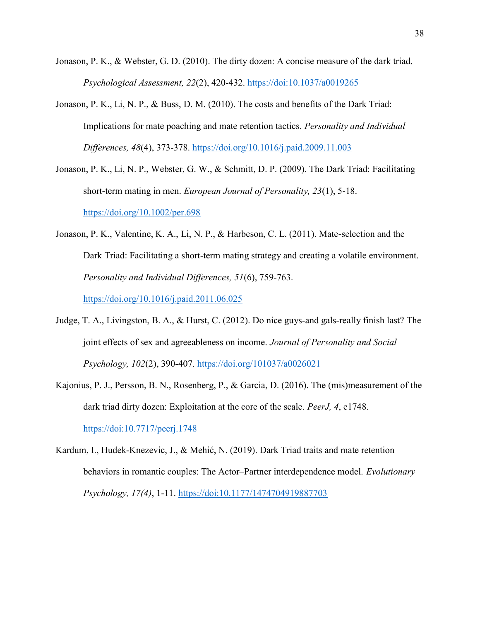- Jonason, P. K., & Webster, G. D. (2010). The dirty dozen: A concise measure of the dark triad. Psychological Assessment, 22(2), 420-432. https://doi:10.1037/a0019265
- Jonason, P. K., Li, N. P., & Buss, D. M. (2010). The costs and benefits of the Dark Triad: Implications for mate poaching and mate retention tactics. Personality and Individual Differences, 48(4), 373-378. https://doi.org/10.1016/j.paid.2009.11.003
- Jonason, P. K., Li, N. P., Webster, G. W., & Schmitt, D. P. (2009). The Dark Triad: Facilitating short-term mating in men. European Journal of Personality, 23(1), 5-18. https://doi.org/10.1002/per.698
- Jonason, P. K., Valentine, K. A., Li, N. P., & Harbeson, C. L. (2011). Mate-selection and the Dark Triad: Facilitating a short-term mating strategy and creating a volatile environment. Personality and Individual Differences, 51(6), 759-763.

https://doi.org/10.1016/j.paid.2011.06.025

- Judge, T. A., Livingston, B. A., & Hurst, C. (2012). Do nice guys-and gals-really finish last? The joint effects of sex and agreeableness on income. Journal of Personality and Social Psychology, 102(2), 390-407. https://doi.org/101037/a0026021
- Kajonius, P. J., Persson, B. N., Rosenberg, P., & Garcia, D. (2016). The (mis)measurement of the dark triad dirty dozen: Exploitation at the core of the scale. *PeerJ*, 4, e1748. https://doi:10.7717/peerj.1748

Kardum, I., Hudek-Knezevic, J., & Mehić, N. (2019). Dark Triad traits and mate retention behaviors in romantic couples: The Actor–Partner interdependence model. Evolutionary Psychology, 17(4), 1-11. https://doi:10.1177/1474704919887703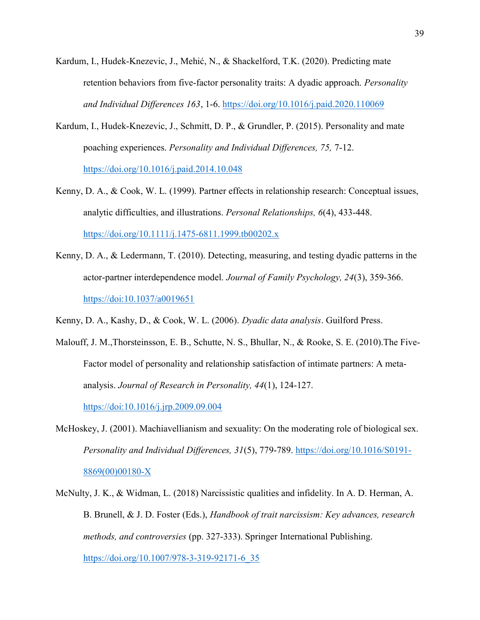- Kardum, I., Hudek-Knezevic, J., Mehić, N., & Shackelford, T.K. (2020). Predicting mate retention behaviors from five-factor personality traits: A dyadic approach. *Personality* and Individual Differences 163, 1-6. https://doi.org/10.1016/j.paid.2020.110069
- Kardum, I., Hudek-Knezevic, J., Schmitt, D. P., & Grundler, P. (2015). Personality and mate poaching experiences. Personality and Individual Differences, 75, 7-12. https://doi.org/10.1016/j.paid.2014.10.048
- Kenny, D. A., & Cook, W. L. (1999). Partner effects in relationship research: Conceptual issues, analytic difficulties, and illustrations. Personal Relationships, 6(4), 433-448. https://doi.org/10.1111/j.1475-6811.1999.tb00202.x
- Kenny, D. A., & Ledermann, T. (2010). Detecting, measuring, and testing dyadic patterns in the actor-partner interdependence model. Journal of Family Psychology, 24(3), 359-366. https://doi:10.1037/a0019651
- Kenny, D. A., Kashy, D., & Cook, W. L. (2006). Dyadic data analysis. Guilford Press.
- Malouff, J. M.,Thorsteinsson, E. B., Schutte, N. S., Bhullar, N., & Rooke, S. E. (2010).The Five-Factor model of personality and relationship satisfaction of intimate partners: A metaanalysis. Journal of Research in Personality, 44(1), 124-127. https://doi:10.1016/j.jrp.2009.09.004
- McHoskey, J. (2001). Machiavellianism and sexuality: On the moderating role of biological sex. Personality and Individual Differences, 31(5), 779-789. https://doi.org/10.1016/S0191-8869(00)00180-X
- McNulty, J. K., & Widman, L. (2018) Narcissistic qualities and infidelity. In A. D. Herman, A. B. Brunell, & J. D. Foster (Eds.), Handbook of trait narcissism: Key advances, research methods, and controversies (pp. 327-333). Springer International Publishing. https://doi.org/10.1007/978-3-319-92171-6\_35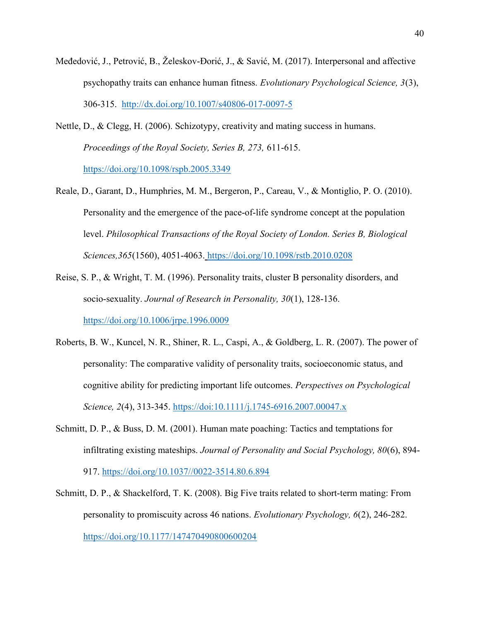- Međedović, J., Petrović, B., Želeskov-Đorić, J., & Savić, M. (2017). Interpersonal and affective psychopathy traits can enhance human fitness. Evolutionary Psychological Science, 3(3), 306-315. http://dx.doi.org/10.1007/s40806-017-0097-5
- Nettle, D., & Clegg, H. (2006). Schizotypy, creativity and mating success in humans. Proceedings of the Royal Society, Series B, 273, 611-615. https://doi.org/10.1098/rspb.2005.3349
- Reale, D., Garant, D., Humphries, M. M., Bergeron, P., Careau, V., & Montiglio, P. O. (2010). Personality and the emergence of the pace-of-life syndrome concept at the population level. Philosophical Transactions of the Royal Society of London. Series B, Biological Sciences,365(1560), 4051-4063. https://doi.org/10.1098/rstb.2010.0208
- Reise, S. P., & Wright, T. M. (1996). Personality traits, cluster B personality disorders, and socio-sexuality. Journal of Research in Personality, 30(1), 128-136. https://doi.org/10.1006/jrpe.1996.0009
- Roberts, B. W., Kuncel, N. R., Shiner, R. L., Caspi, A., & Goldberg, L. R. (2007). The power of personality: The comparative validity of personality traits, socioeconomic status, and cognitive ability for predicting important life outcomes. Perspectives on Psychological Science, 2(4), 313-345. https://doi:10.1111/j.1745-6916.2007.00047.x
- Schmitt, D. P., & Buss, D. M. (2001). Human mate poaching: Tactics and temptations for infiltrating existing mateships. Journal of Personality and Social Psychology, 80(6), 894- 917. https://doi.org/10.1037//0022-3514.80.6.894
- Schmitt, D. P., & Shackelford, T. K. (2008). Big Five traits related to short-term mating: From personality to promiscuity across 46 nations. Evolutionary Psychology, 6(2), 246-282. https://doi.org/10.1177/147470490800600204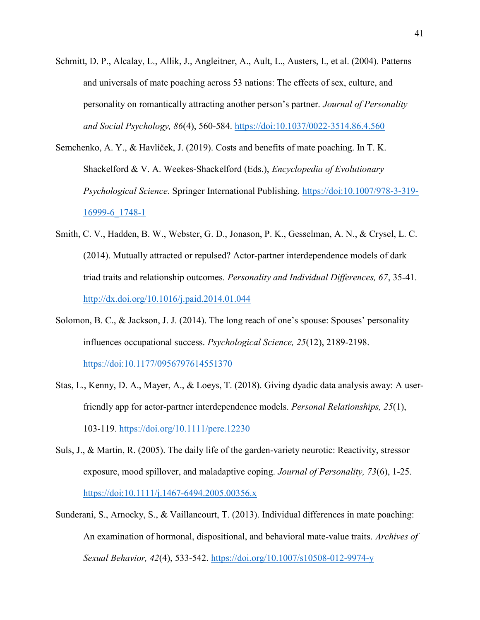- Schmitt, D. P., Alcalay, L., Allik, J., Angleitner, A., Ault, L., Austers, I., et al. (2004). Patterns and universals of mate poaching across 53 nations: The effects of sex, culture, and personality on romantically attracting another person's partner. Journal of Personality and Social Psychology, 86(4), 560-584. https://doi:10.1037/0022-3514.86.4.560
- Semchenko, A. Y., & Havlíček, J. (2019). Costs and benefits of mate poaching. In T. K. Shackelford & V. A. Weekes-Shackelford (Eds.), Encyclopedia of Evolutionary Psychological Science. Springer International Publishing. https://doi:10.1007/978-3-319- 16999-6\_1748-1
- Smith, C. V., Hadden, B. W., Webster, G. D., Jonason, P. K., Gesselman, A. N., & Crysel, L. C. (2014). Mutually attracted or repulsed? Actor-partner interdependence models of dark triad traits and relationship outcomes. Personality and Individual Differences, 67, 35-41. http://dx.doi.org/10.1016/j.paid.2014.01.044
- Solomon, B. C., & Jackson, J. J. (2014). The long reach of one's spouse: Spouses' personality influences occupational success. Psychological Science, 25(12), 2189-2198. https://doi:10.1177/0956797614551370
- Stas, L., Kenny, D. A., Mayer, A., & Loeys, T. (2018). Giving dyadic data analysis away: A userfriendly app for actor-partner interdependence models. Personal Relationships, 25(1), 103-119. https://doi.org/10.1111/pere.12230
- Suls, J., & Martin, R. (2005). The daily life of the garden-variety neurotic: Reactivity, stressor exposure, mood spillover, and maladaptive coping. Journal of Personality, 73(6), 1-25. https://doi:10.1111/j.1467-6494.2005.00356.x
- Sunderani, S., Arnocky, S., & Vaillancourt, T. (2013). Individual differences in mate poaching: An examination of hormonal, dispositional, and behavioral mate-value traits. Archives of Sexual Behavior, 42(4), 533-542. https://doi.org/10.1007/s10508-012-9974-y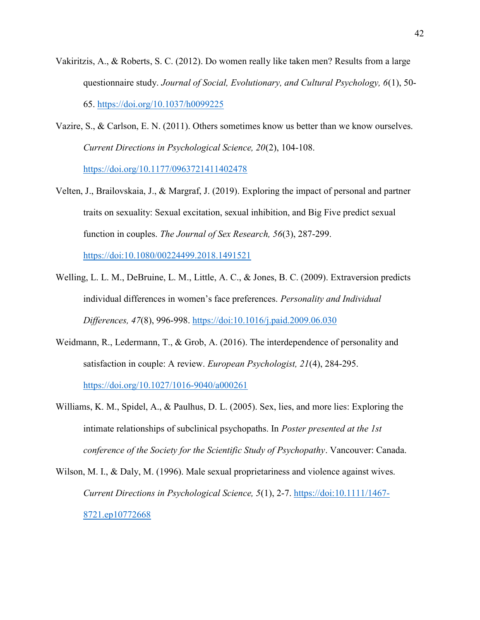- Vakiritzis, A., & Roberts, S. C. (2012). Do women really like taken men? Results from a large questionnaire study. Journal of Social, Evolutionary, and Cultural Psychology, 6(1), 50- 65. https://doi.org/10.1037/h0099225
- Vazire, S., & Carlson, E. N. (2011). Others sometimes know us better than we know ourselves. Current Directions in Psychological Science, 20(2), 104-108. https://doi.org/10.1177/0963721411402478
- Velten, J., Brailovskaia, J., & Margraf, J. (2019). Exploring the impact of personal and partner traits on sexuality: Sexual excitation, sexual inhibition, and Big Five predict sexual function in couples. The Journal of Sex Research, 56(3), 287-299.

https://doi:10.1080/00224499.2018.1491521

- Welling, L. L. M., DeBruine, L. M., Little, A. C., & Jones, B. C. (2009). Extraversion predicts individual differences in women's face preferences. Personality and Individual Differences, 47(8), 996-998. https://doi:10.1016/j.paid.2009.06.030
- Weidmann, R., Ledermann, T., & Grob, A. (2016). The interdependence of personality and satisfaction in couple: A review. European Psychologist, 21(4), 284-295. https://doi.org/10.1027/1016-9040/a000261
- Williams, K. M., Spidel, A., & Paulhus, D. L. (2005). Sex, lies, and more lies: Exploring the intimate relationships of subclinical psychopaths. In Poster presented at the 1st conference of the Society for the Scientific Study of Psychopathy. Vancouver: Canada.
- Wilson, M. I., & Daly, M. (1996). Male sexual proprietariness and violence against wives. Current Directions in Psychological Science, 5(1), 2-7. https://doi:10.1111/1467- 8721.ep10772668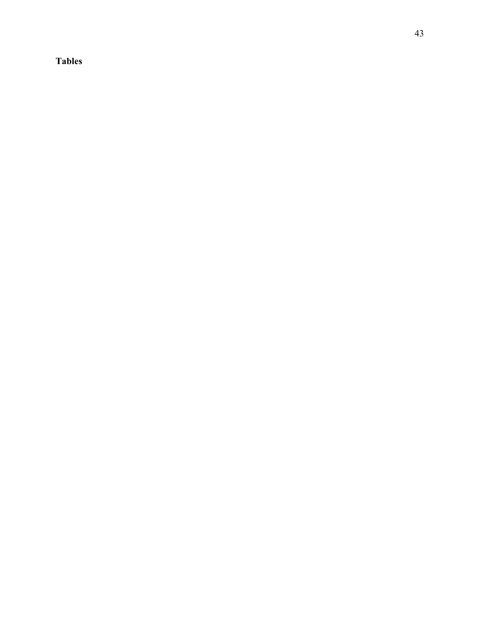Tables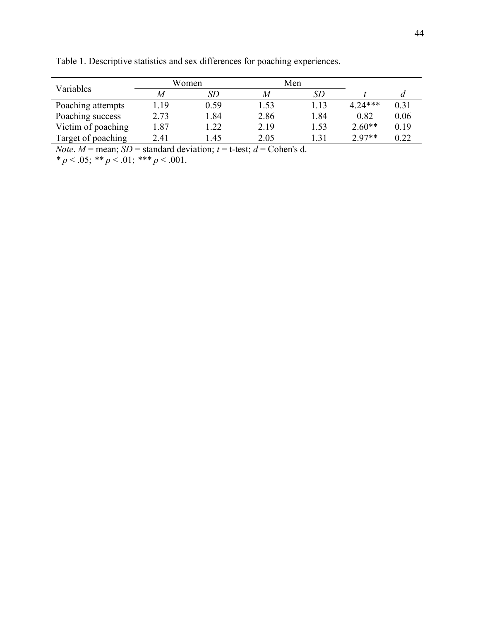|      | SD   |       | <i>SD</i> |           | a    |
|------|------|-------|-----------|-----------|------|
| .19  | 0.59 | 1.53  | 1.13      | $4.24***$ | 0.31 |
| 2.73 | 1.84 | 2.86  | 1.84      | 0.82      | 0.06 |
| 1.87 | 1.22 | 2.19  | 1.53      | $2.60**$  | 0.19 |
| 2.41 | l.45 | 2.05  | 1.31      | $2.97**$  | 0.22 |
|      |      | Women |           | Men       |      |

Table 1. Descriptive statistics and sex differences for poaching experiences.

*Note.*  $M$  = mean;  $SD$  = standard deviation;  $t$  = t-test;  $d$  = Cohen's d.

\*  $p < .05$ ; \*\*  $p < .01$ ; \*\*\*  $p < .001$ .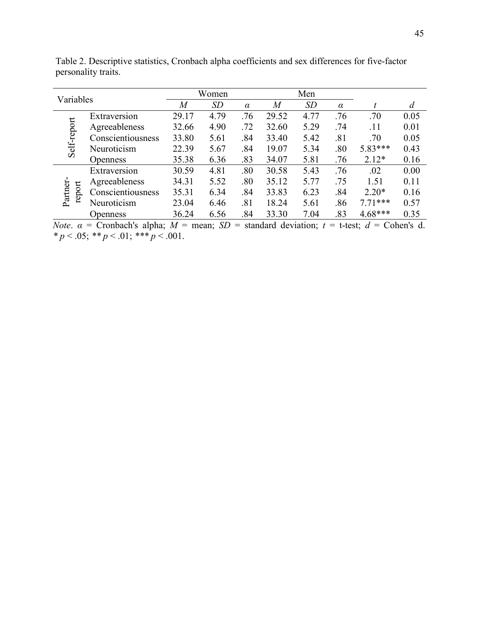| Variables          |                   |       | Women     |          |                | Men  |          |           |                |
|--------------------|-------------------|-------|-----------|----------|----------------|------|----------|-----------|----------------|
|                    |                   | M     | <b>SD</b> | $\alpha$ | $\overline{M}$ | SD   | $\alpha$ | t         | $\overline{d}$ |
|                    | Extraversion      | 29.17 | 4.79      | .76      | 29.52          | 4.77 | .76      | .70       | 0.05           |
| Self-report        | Agreeableness     | 32.66 | 4.90      | .72      | 32.60          | 5.29 | .74      | .11       | 0.01           |
|                    | Conscientiousness | 33.80 | 5.61      | .84      | 33.40          | 5.42 | .81      | .70       | 0.05           |
|                    | Neuroticism       | 22.39 | 5.67      | .84      | 19.07          | 5.34 | .80      | 5.83***   | 0.43           |
|                    | <b>Openness</b>   | 35.38 | 6.36      | .83      | 34.07          | 5.81 | .76      | $2.12*$   | 0.16           |
|                    | Extraversion      | 30.59 | 4.81      | .80      | 30.58          | 5.43 | .76      | .02       | 0.00           |
|                    | Agreeableness     | 34.31 | 5.52      | .80      | 35.12          | 5.77 | .75      | 1.51      | 0.11           |
| Partner-<br>report | Conscientiousness | 35.31 | 6.34      | .84      | 33.83          | 6.23 | .84      | $2.20*$   | 0.16           |
|                    | Neuroticism       | 23.04 | 6.46      | .81      | 18.24          | 5.61 | .86      | $7.71***$ | 0.57           |
|                    | Openness          | 36.24 | 6.56      | .84      | 33.30          | 7.04 | .83      | $4.68***$ | 0.35           |

Table 2. Descriptive statistics, Cronbach alpha coefficients and sex differences for five-factor personality traits.

Note.  $\alpha$  = Cronbach's alpha;  $M$  = mean;  $SD$  = standard deviation;  $t$  = t-test;  $d$  = Cohen's d. \*  $p < .05$ ; \*\*  $p < .01$ ; \*\*\*  $p < .001$ .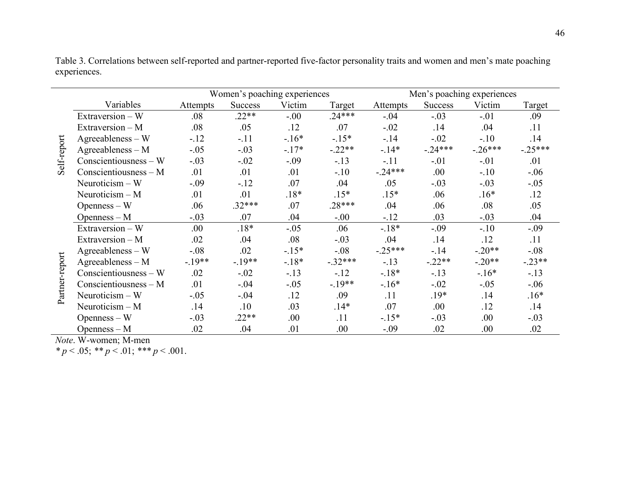|                |                         |          | Women's poaching experiences |         |           |           |                | Men's poaching experiences |           |
|----------------|-------------------------|----------|------------------------------|---------|-----------|-----------|----------------|----------------------------|-----------|
|                | Variables               | Attempts | Success                      | Victim  | Target    | Attempts  | <b>Success</b> | Victim                     | Target    |
|                | Extraversion - W        | .08      | $.22**$                      | $-.00$  | $.24***$  | $-.04$    | $-.03$         | $-.01$                     | .09       |
|                | Extraversion - M        | .08      | .05                          | .12     | .07       | $-.02$    | .14            | .04                        | .11       |
|                | $Agreeableness - W$     | $-.12$   | $-.11$                       | $-.16*$ | $-.15*$   | $-14$     | $-.02$         | $-.10$                     | .14       |
| Self-report    | $A$ greeableness – M    | $-.05$   | $-.03$                       | $-17*$  | $-.22**$  | $-14*$    | $-.24***$      | $-.26***$                  | $-.25***$ |
|                | $Conscientiousness - W$ | $-.03$   | $-.02$                       | $-.09$  | $-.13$    | $-.11$    | $-.01$         | $-.01$                     | .01       |
|                | Conscientiousness $- M$ | .01      | .01                          | .01     | $-.10$    | $-.24***$ | .00.           | $-.10$                     | $-.06$    |
|                | Neuroticism $-W$        | $-.09$   | $-.12$                       | .07     | .04       | .05       | $-.03$         | $-.03$                     | $-.05$    |
|                | Neuroticism $-M$        | .01      | .01                          | $.18*$  | $.15*$    | $.15*$    | .06            | $.16*$                     | .12       |
|                | $O$ penness $-$ W       | .06      | $.32***$                     | .07     | $.28***$  | .04       | .06            | .08                        | .05       |
|                | $Openness - M$          | $-.03$   | .07                          | .04     | $-.00$    | $-.12$    | .03            | $-.03$                     | .04       |
|                | Extraversion $-$ W      | .00.     | $.18*$                       | $-.05$  | .06       | $-18*$    | $-.09$         | $-.10$                     | $-.09$    |
|                | Extraversion - M        | .02      | .04                          | .08     | $-.03$    | .04       | .14            | .12                        | .11       |
|                | $A$ greeableness – W    | $-.08$   | .02                          | $-15*$  | $-.08$    | $-.25***$ | $-.14$         | $-.20**$                   | $-.08$    |
| Partner-report | $A$ greeableness – M    | $-.19**$ | $-.19**$                     | $-18*$  | $-.32***$ | $-.13$    | $-.22**$       | $-.20**$                   | $-.23**$  |
|                | $Conscientiousness - W$ | .02      | $-.02$                       | $-.13$  | $-12$     | $-18*$    | $-.13$         | $-.16*$                    | $-.13$    |
|                | Conscientiousness $- M$ | .01      | $-.04$                       | $-.05$  | $-.19**$  | $-.16*$   | $-.02$         | $-.05$                     | $-.06$    |
|                | Neuroticism $-$ W       | $-.05$   | $-.04$                       | .12     | .09       | .11       | $.19*$         | .14                        | $.16*$    |
|                | Neuroticism $-M$        | .14      | .10                          | .03     | $.14*$    | .07       | .00            | .12                        | .14       |
|                | $Openness - W$          | $-.03$   | $.22**$                      | .00.    | .11       | $-15*$    | $-.03$         | .00.                       | $-.03$    |
|                | $O$ penness $- M$       | .02      | .04                          | .01     | .00.      | $-.09$    | .02            | .00.                       | .02       |

Table 3. Correlations between self-reported and partner-reported five-factor personality traits and women and men's mate poaching experiences.

Note. W-women; M-men

\*  $p < .05$ ; \*\*  $p < .01$ ; \*\*\*  $p < .001$ .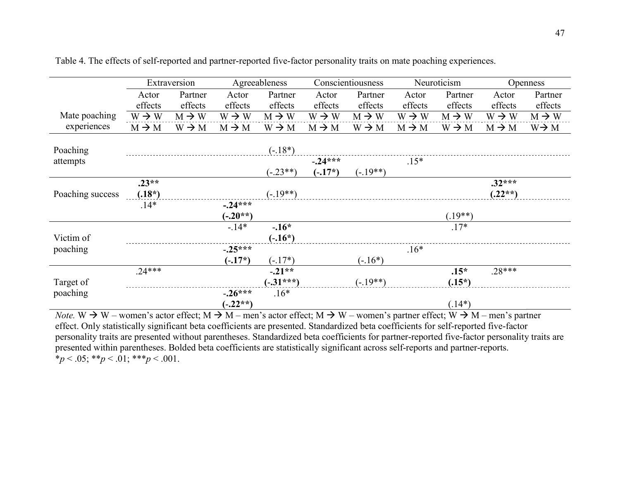|                  |                   | Extraversion      |                   | Agreeableness     |                   | Conscientiousness |                   | Neuroticism       |                   | Openness          |
|------------------|-------------------|-------------------|-------------------|-------------------|-------------------|-------------------|-------------------|-------------------|-------------------|-------------------|
|                  | Actor             | Partner           | Actor             | Partner           | Actor             | Partner           | Actor             | Partner           | Actor             | Partner           |
|                  | effects           | effects           | effects           | effects           | effects           | effects           | effects           | effects           | effects           | effects           |
| Mate poaching    | $W \rightarrow W$ | $M \rightarrow W$ | $W \rightarrow W$ | $M \rightarrow W$ | $W \rightarrow W$ | $M \rightarrow W$ | $W \rightarrow W$ | $M \rightarrow W$ | $W \rightarrow W$ | $M \rightarrow W$ |
| experiences      | $M \rightarrow M$ | $W \rightarrow M$ | $M \rightarrow M$ | $W \rightarrow M$ | $M \rightarrow M$ | $W \rightarrow M$ | $M \rightarrow M$ | $W \rightarrow M$ | $M \rightarrow M$ | $W \rightarrow M$ |
| Poaching         |                   |                   |                   | $(-.18*)$         |                   |                   |                   |                   |                   |                   |
| attempts         |                   |                   |                   |                   | $-0.24***$        |                   | $.15*$            |                   |                   |                   |
|                  |                   |                   |                   | $(-.23**)$        | $(-.17^*)$        | $(-.19**)$        |                   |                   |                   |                   |
|                  | $.23**$           |                   |                   |                   |                   |                   |                   |                   | $.32***$          |                   |
| Poaching success | $(.18^*)$         |                   |                   | $(-.19**)$        |                   |                   |                   |                   | $(.22**)$         |                   |
|                  | $.14*$            |                   | $-.24***$         |                   |                   |                   |                   |                   |                   |                   |
|                  |                   |                   | $(-.20**)$        |                   |                   |                   |                   | $(.19**)$         |                   |                   |
|                  |                   |                   | $-.14*$           | $-.16*$           |                   |                   |                   | $.17*$            |                   |                   |
| Victim of        |                   |                   |                   | $(-.16^*)$        |                   |                   |                   |                   |                   |                   |
| poaching         |                   |                   | $-.25***$         |                   |                   |                   | $.16*$            |                   |                   |                   |
|                  |                   |                   | $(-.17^*)$        | $(-.17^*)$        |                   | $(-.16^*)$        |                   |                   |                   |                   |
|                  | $.24***$          |                   |                   | $-.21**$          |                   |                   |                   | $.15*$            | $.28***$          |                   |
| Target of        |                   |                   |                   | $(-.31***)$       |                   | $(-.19**)$        |                   | $(.15^*)$         |                   |                   |
| poaching         |                   |                   | $-.26***$         | $.16*$            |                   |                   |                   |                   |                   |                   |
|                  |                   |                   | $(-.22**)$        |                   |                   |                   |                   | $(.14*)$          |                   |                   |

Table 4. The effects of self-reported and partner-reported five-factor personality traits on mate poaching experiences.

Note. W  $\rightarrow$  W – women's actor effect; M  $\rightarrow$  M – men's actor effect; M  $\rightarrow$  W – women's partner effect; W  $\rightarrow$  M – men's partner effect. Only statistically significant beta coefficients are presented. Standardized beta coefficients for self-reported five-factor personality traits are presented without parentheses. Standardized beta coefficients for partner-reported five-factor personality traits are presented within parentheses. Bolded beta coefficients are statistically significant across self-reports and partner-reports.  $*_p$  < .05;  $*_p$  < .01;  $**_p$  < .001.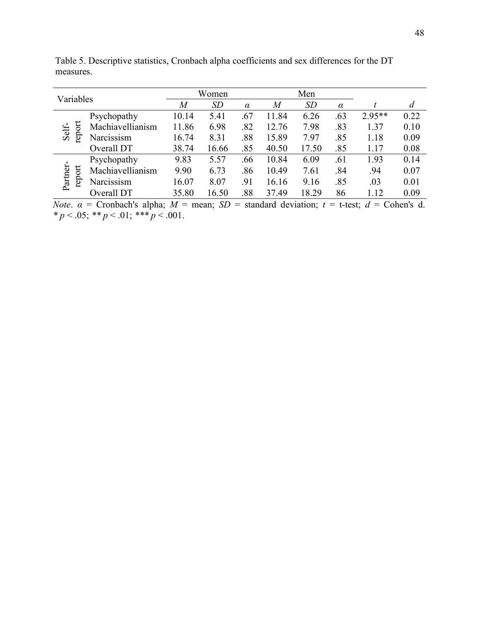| Variables |        |                                                                                                   | Women |       |          | Men            |       |          |          |      |
|-----------|--------|---------------------------------------------------------------------------------------------------|-------|-------|----------|----------------|-------|----------|----------|------|
|           |        |                                                                                                   | M     | SD    | $\alpha$ | $\overline{M}$ | SD    | $\alpha$ |          | d    |
|           |        | Psychopathy                                                                                       | 10.14 | 5.41  | .67      | 11.84          | 6.26  | .63      | $2.95**$ | 0.22 |
| Self-     | report | Machiavellianism                                                                                  | 11.86 | 6.98  | .82      | 12.76          | 7.98  | .83      | 1.37     | 0.10 |
|           |        | Narcissism                                                                                        | 16.74 | 8.31  | .88      | 15.89          | 7.97  | .85      | 1.18     | 0.09 |
|           |        | Overall DT                                                                                        | 38.74 | 16.66 | .85      | 40.50          | 17.50 | .85      | 1.17     | 0.08 |
|           |        | Psychopathy                                                                                       | 9.83  | 5.57  | .66      | 10.84          | 6.09  | .61      | 1.93     | 0.14 |
|           | report | Machiavellianism                                                                                  | 9.90  | 6.73  | .86      | 10.49          | 7.61  | .84      | .94      | 0.07 |
| Partner-  |        | Narcissism                                                                                        | 16.07 | 8.07  | .91      | 16.16          | 9.16  | .85      | .03      | 0.01 |
|           |        | Overall DT                                                                                        | 35.80 | 16.50 | .88      | 37.49          | 18.29 | 86       | 1.12     | 0.09 |
|           |        | Note $a =$ Cropbach's alpha: $M =$ mean: $SD =$ standard deviation: $t =$ t-test: $d =$ Cohen's d |       |       |          |                |       |          |          |      |

Table 5. Descriptive statistics, Cronbach alpha coefficients and sex differences for the DT measures.

*Note.*  $\alpha$  = Cronbach's alpha;  $M$  = mean;  $SD$  = standard deviation;  $t$  = t-test;  $d$  = Cohen's d. \*  $p < .05$ ; \*\*  $p < .01$ ; \*\*\*  $p < .001$ .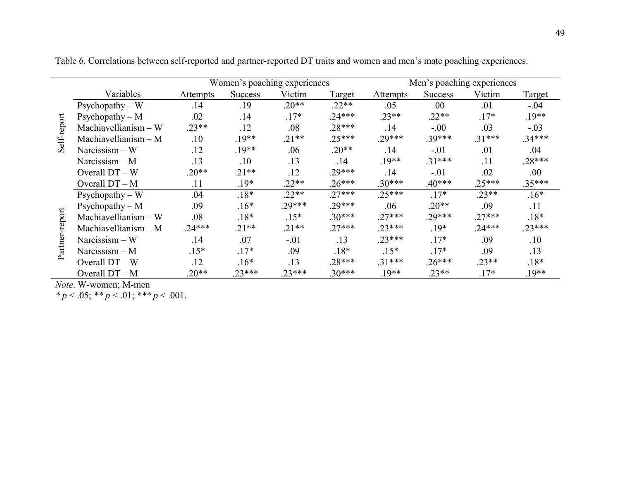|             |                        |          |                | Women's poaching experiences |          |          | Men's poaching experiences |          |          |
|-------------|------------------------|----------|----------------|------------------------------|----------|----------|----------------------------|----------|----------|
|             | Variables              | Attempts | <b>Success</b> | Victim                       | Target   | Attempts | <b>Success</b>             | Victim   | Target   |
|             | $Psychopathy - W$      | .14      | .19            | $.20**$                      | $.22**$  | .05      | .00                        | .01      | $-.04$   |
|             | Psychopathy $- M$      | .02      | .14            | $.17*$                       | $.24***$ | $.23**$  | $.22**$                    | $.17*$   | $.19**$  |
|             | $Machiavellianism - W$ | $.23**$  | .12            | .08                          | $.28***$ | .14      | $-.00$                     | .03      | $-.03$   |
| Self-report | Machiavellianism $- M$ | .10      | $.19**$        | $.21**$                      | $.25***$ | $.29***$ | $.39***$                   | $.31***$ | $.34***$ |
|             | $Narcissism - W$       | .12      | $.19**$        | .06                          | $.20**$  | .14      | $-.01$                     | .01      | .04      |
|             | Narcissism $- M$       | .13      | .10            | .13                          | .14      | $.19**$  | $.31***$                   | .11      | $.28***$ |
|             | Overall $DT - W$       | $.20**$  | $.21**$        | .12                          | $.29***$ | .14      | $-.01$                     | .02      | .00.     |
|             | Overall DT - M         | .11      | $.19*$         | $.22**$                      | $.26***$ | $.30***$ | $.40***$                   | $.25***$ | $.35***$ |
|             | $P$ sychopathy – W     | .04      | $.18*$         | $.22**$                      | $.27***$ | $.25***$ | $.17*$                     | $.23**$  | $.16*$   |
|             | Psychopathy $- M$      | .09      | $.16*$         | $.29***$                     | $.29***$ | .06      | $.20**$                    | .09      | .11      |
| port        | $Machiavellianism - W$ | .08      | $.18*$         | $.15*$                       | $.30***$ | $.27***$ | $.29***$                   | $.27***$ | $.18*$   |
|             | $Machiavellianism - M$ | $.24***$ | $.21**$        | $.21**$                      | $.27***$ | $.23***$ | $.19*$                     | $.24***$ | $.23***$ |
|             | Narcissism $-$ W       | .14      | .07            | $-.01$                       | .13      | $.23***$ | $.17*$                     | .09      | .10      |
|             | Narcissism $- M$       | $.15*$   | $.17*$         | .09                          | $.18*$   | $.15*$   | $.17*$                     | .09      | .13      |
|             | Overall DT - W         | .12      | $.16*$         | .13                          | $.28***$ | $.31***$ | $.26***$                   | $.23**$  | $.18*$   |
|             | Overall DT - M         | $.20**$  | $23***$        | $.23***$                     | $.30***$ | $19**$   | $.23**$                    | $.17*$   | $.19**$  |

Table 6. Correlations between self-reported and partner-reported DT traits and women and men's mate poaching experiences.

Note. W-women; M-men

\*  $p < .05$ ; \*\*  $p < .01$ ; \*\*\*  $p < .001$ .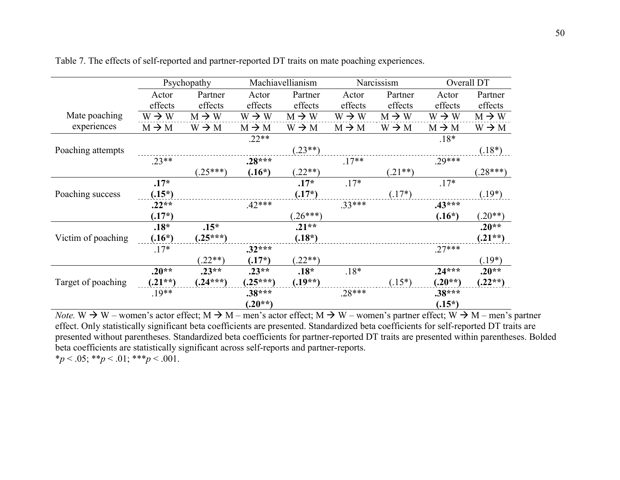|                    |                   | Psychopathy       | Machiavellianism  |                   | Narcissism        |                   | Overall DT        |                   |
|--------------------|-------------------|-------------------|-------------------|-------------------|-------------------|-------------------|-------------------|-------------------|
|                    | Actor             | Partner           | Actor             | Partner           | Actor             | Partner           | Actor             | Partner           |
|                    | effects           | effects           | effects           | effects           | effects           | effects           | effects           | effects           |
| Mate poaching      | $W \rightarrow W$ | $M \rightarrow W$ | $W \rightarrow W$ | $M \rightarrow W$ | $W \rightarrow W$ | $M \rightarrow W$ | $W \rightarrow W$ | $M \rightarrow W$ |
| experiences        | $M \rightarrow M$ | $W \rightarrow M$ | $M \rightarrow M$ | $W \rightarrow M$ | $M \rightarrow M$ | $W \rightarrow M$ | $M \rightarrow M$ | $W \rightarrow M$ |
|                    |                   |                   | $.22**$           |                   |                   |                   | $.18*$            |                   |
| Poaching attempts  |                   |                   |                   | $(.23**)$         |                   |                   |                   | $(.18*)$          |
|                    | $.23**$           |                   | $.28***$          |                   | $.17**$           |                   | $.29***$          |                   |
|                    |                   | $(25***)$         | $(.16*)$          | $.22**$           |                   | $(0.21**)$        |                   | $(28***)$         |
|                    | $.17*$            |                   |                   | $.17*$            | $.17*$            |                   | $.17*$            |                   |
| Poaching success   | $(.15^*)$         |                   |                   | $(.17^*)$         |                   | $(.17^*)$         |                   | $(.19*)$          |
|                    | $.22**$           |                   | $.42***$          |                   | $.33***$          |                   | $.43***$          |                   |
|                    | $(.17^*)$         |                   |                   | $.26***$          |                   |                   | $(.16*)$          | $.20**$           |
|                    | $.18*$            | $.15*$            |                   | $.21**$           |                   |                   |                   | $.20**$           |
| Victim of poaching | $(.16*)$          | $(.25***)$        |                   | $(.18^*)$         |                   |                   |                   | $(.21**)$         |
|                    | $.17*$            |                   | $.32***$          |                   |                   |                   | $.27***$          |                   |
|                    |                   | $(22**)$          | $(.17^*)$         | $.22**$           |                   |                   |                   | $(.19*)$          |
|                    | $.20**$           | $.23**$           | $.23**$           | $.18*$            | $.18*$            |                   | $.24***$          | $.20**$           |
| Target of poaching | $(.21**)$         | $(.24***)$        | $(25***)$         | $(.19**)$         |                   | $(.15*)$          | $(.20**)$         | $(.22**)$         |
|                    | $.19**$           |                   | $.38***$          |                   | $.28***$          |                   | $.38***$          |                   |
|                    |                   |                   | $(.20**)$         |                   |                   |                   | $(.15^*)$         |                   |

Table 7. The effects of self-reported and partner-reported DT traits on mate poaching experiences.

Note. W  $\rightarrow$  W – women's actor effect; M  $\rightarrow$  M – men's actor effect; M  $\rightarrow$  W – women's partner effect; W  $\rightarrow$  M – men's partner effect. Only statistically significant beta coefficients are presented. Standardized beta coefficients for self-reported DT traits are presented without parentheses. Standardized beta coefficients for partner-reported DT traits are presented within parentheses. Bolded beta coefficients are statistically significant across self-reports and partner-reports. \*p < .05; \*\*p < .01; \*\*\*p < .001.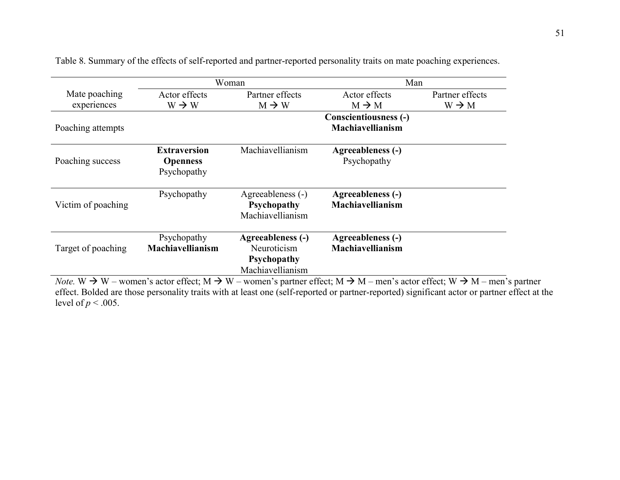|                    |                                                       | Woman                                                                      | Man                                   |                   |  |  |  |
|--------------------|-------------------------------------------------------|----------------------------------------------------------------------------|---------------------------------------|-------------------|--|--|--|
| Mate poaching      | Actor effects                                         | Partner effects                                                            | Actor effects                         | Partner effects   |  |  |  |
| experiences        | $W \rightarrow W$                                     | $M \rightarrow W$                                                          | $M \rightarrow M$                     | $W \rightarrow M$ |  |  |  |
|                    |                                                       |                                                                            | <b>Conscientiousness (-)</b>          |                   |  |  |  |
| Poaching attempts  |                                                       |                                                                            | Machiavellianism                      |                   |  |  |  |
| Poaching success   | <b>Extraversion</b><br><b>Openness</b><br>Psychopathy | Machiavellianism                                                           | Agreeableness (-)<br>Psychopathy      |                   |  |  |  |
| Victim of poaching | Psychopathy                                           | Agreeableness (-)<br>Psychopathy<br>Machiavellianism                       | Agreeableness (-)<br>Machiavellianism |                   |  |  |  |
| Target of poaching | Psychopathy<br>Machiavellianism                       | Agreeableness (-)<br>Neuroticism<br><b>Psychopathy</b><br>Machiavellianism | Agreeableness (-)<br>Machiavellianism |                   |  |  |  |

Table 8. Summary of the effects of self-reported and partner-reported personality traits on mate poaching experiences.

Note. W  $\rightarrow$  W – women's actor effect; M  $\rightarrow$  W – women's partner effect; M  $\rightarrow$  M – men's actor effect; W  $\rightarrow$  M – men's partner effect. Bolded are those personality traits with at least one (self-reported or partner-reported) significant actor or partner effect at the level of  $p < .005$ .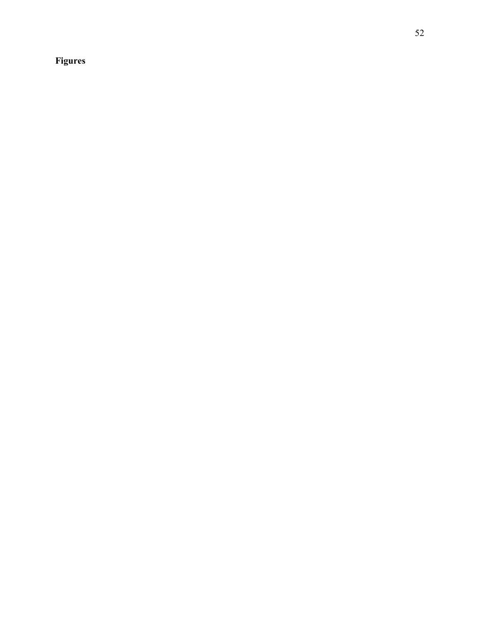# Figures